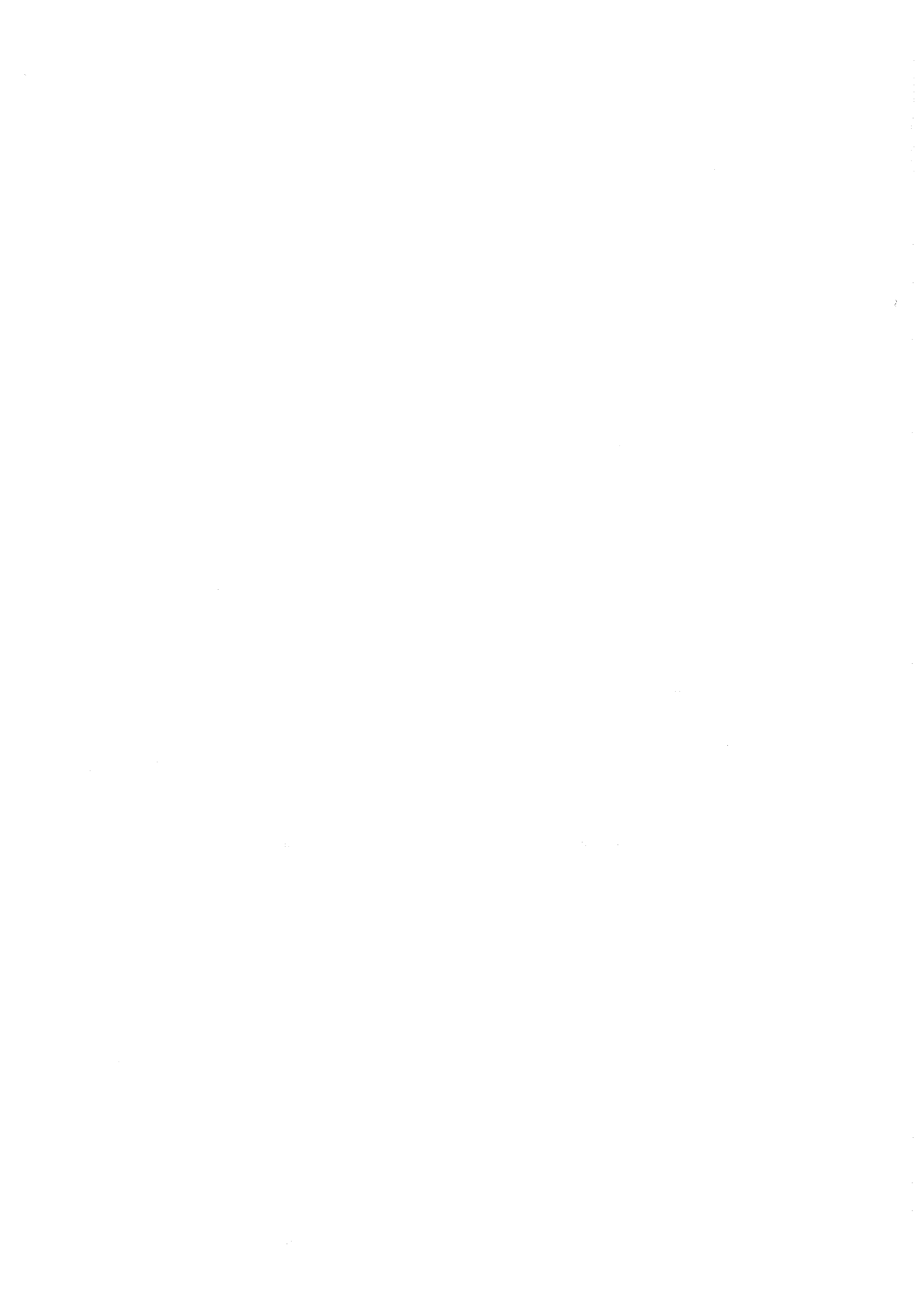$\frac{1}{\left\vert \mathcal{E}\right\vert ^{2}}\leq1.$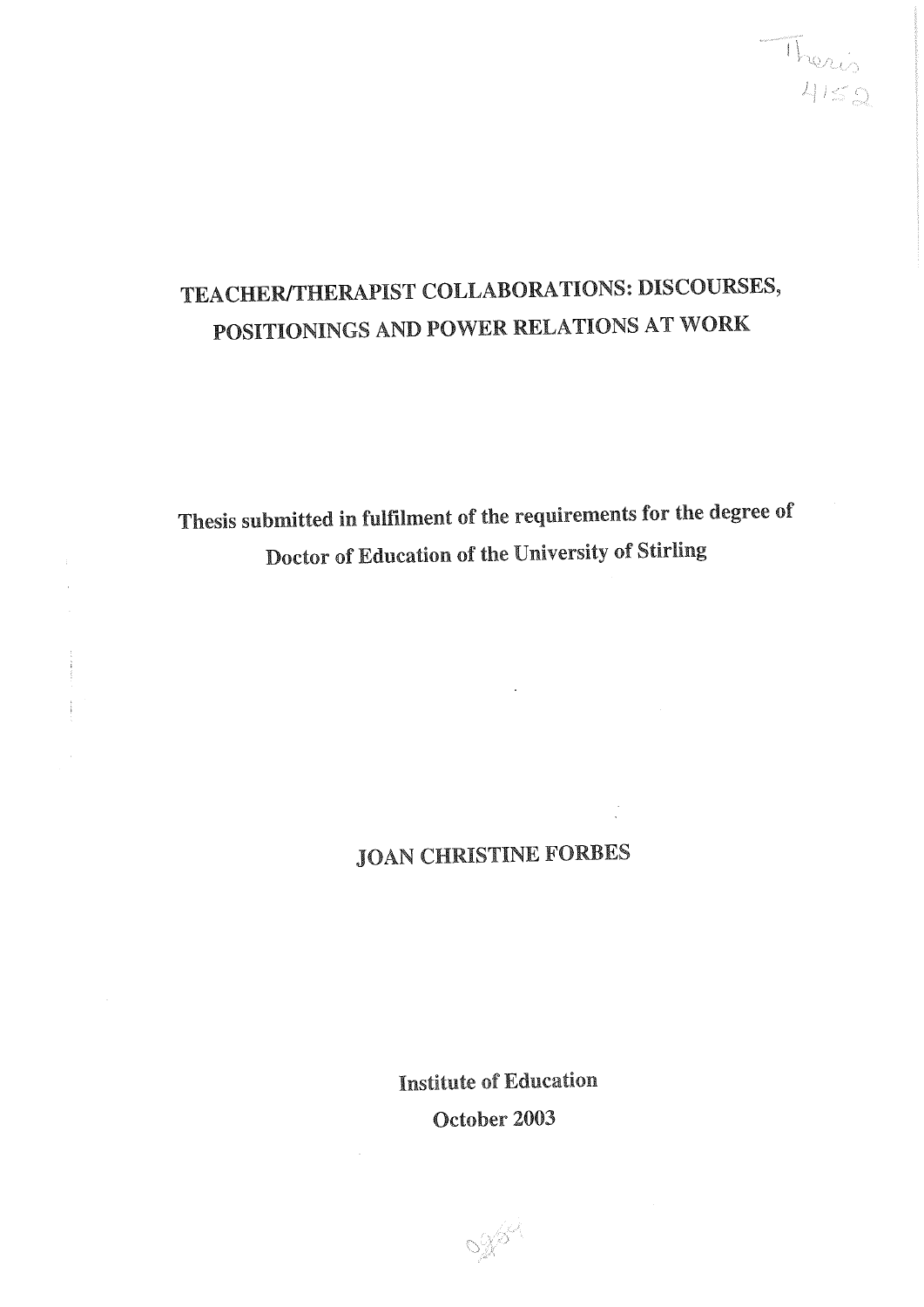# TEACHER/THERAPIST COLLABORATIONS: DISCOURSES, POSITIONINGS AND POWER RELATIONS AT WORK

Thesis submitted in fulfilment of the requirements for the degree of Doctor of Education of the University of Stirling

# JOAN CHRISTINE FORBES

Institute of Education October 2003

A S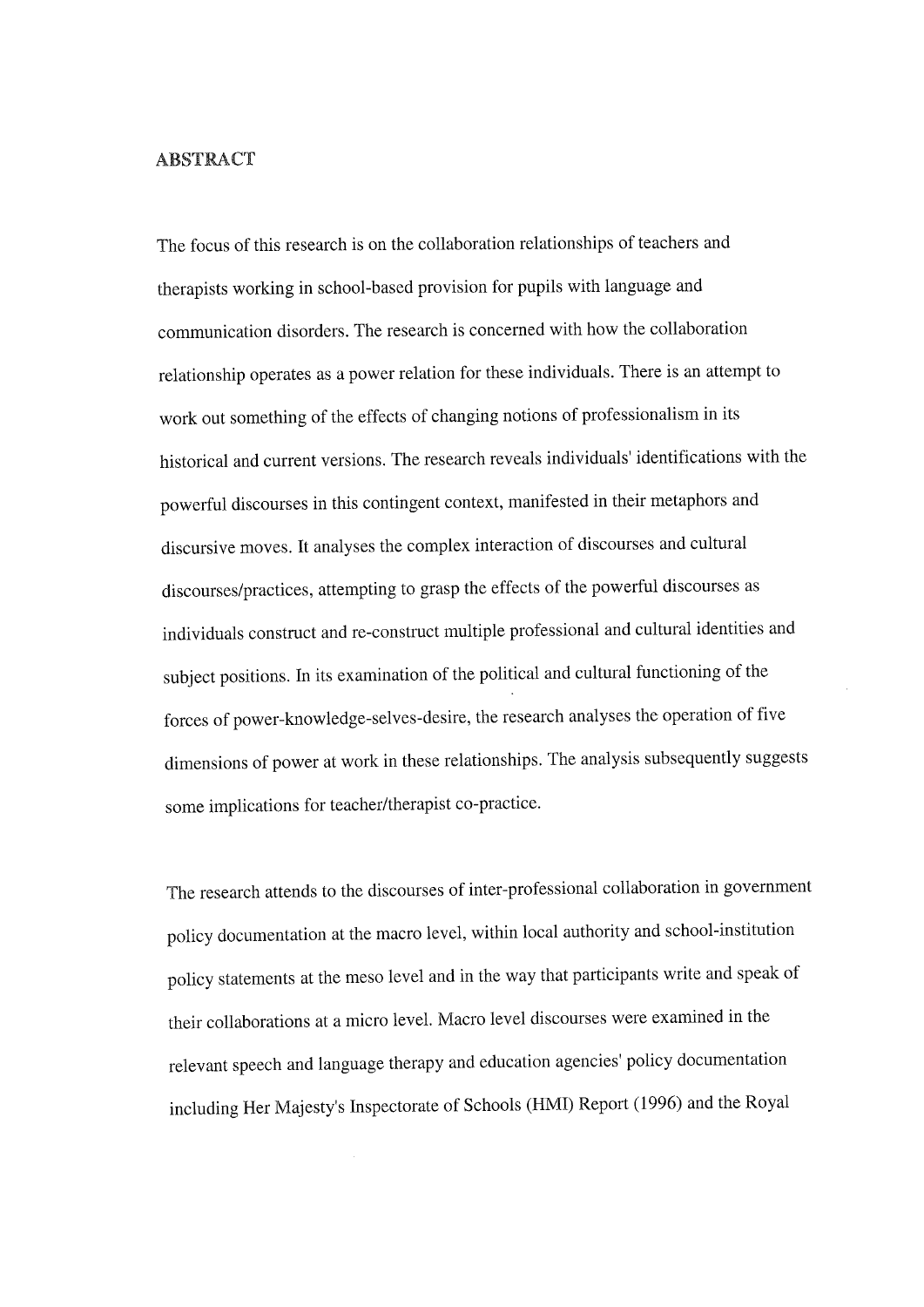# ABSTRACT

The focus of this research is on the collaboration relationships of teachers and therapists working in school-based provision for pupils with language and communication disorders. The research is concerned with how the collaboration relationship operates as a power relation for these individuals. There is an attempt to work out something of the effects of changing notions of professionalism in its historical and current versions. The research reveals individuals' identifications with the powerful discourses in this contingent context, manifested in their metaphors and discursive moves. It analyses the complex interaction of discourses and cultural discourses/practices, attempting to grasp the effects of the powerful discourses as individuals construct and re-construct multiple professional and cultural identities and subject positions. In its examination of the political and cultural functioning of the forces of power-knowledge-selves-desire, the research analyses the operation of five dimensions of power at work in these relationships. The analysis subsequently suggests some implications for teacher/therapist co-practice.

The research attends to the discourses of inter-professional collaboration in government policy documentation at the macro level, within local authority and school-institution policy statements at the meso level and in the way that participants write and speak of their collaborations at a micro leveL. Macro level discourses were examined in the relevant speech and language therapy and education agencies' policy documentation including Her Majesty's Inspectorate of Schools (HMI) Report (1996) and the Royal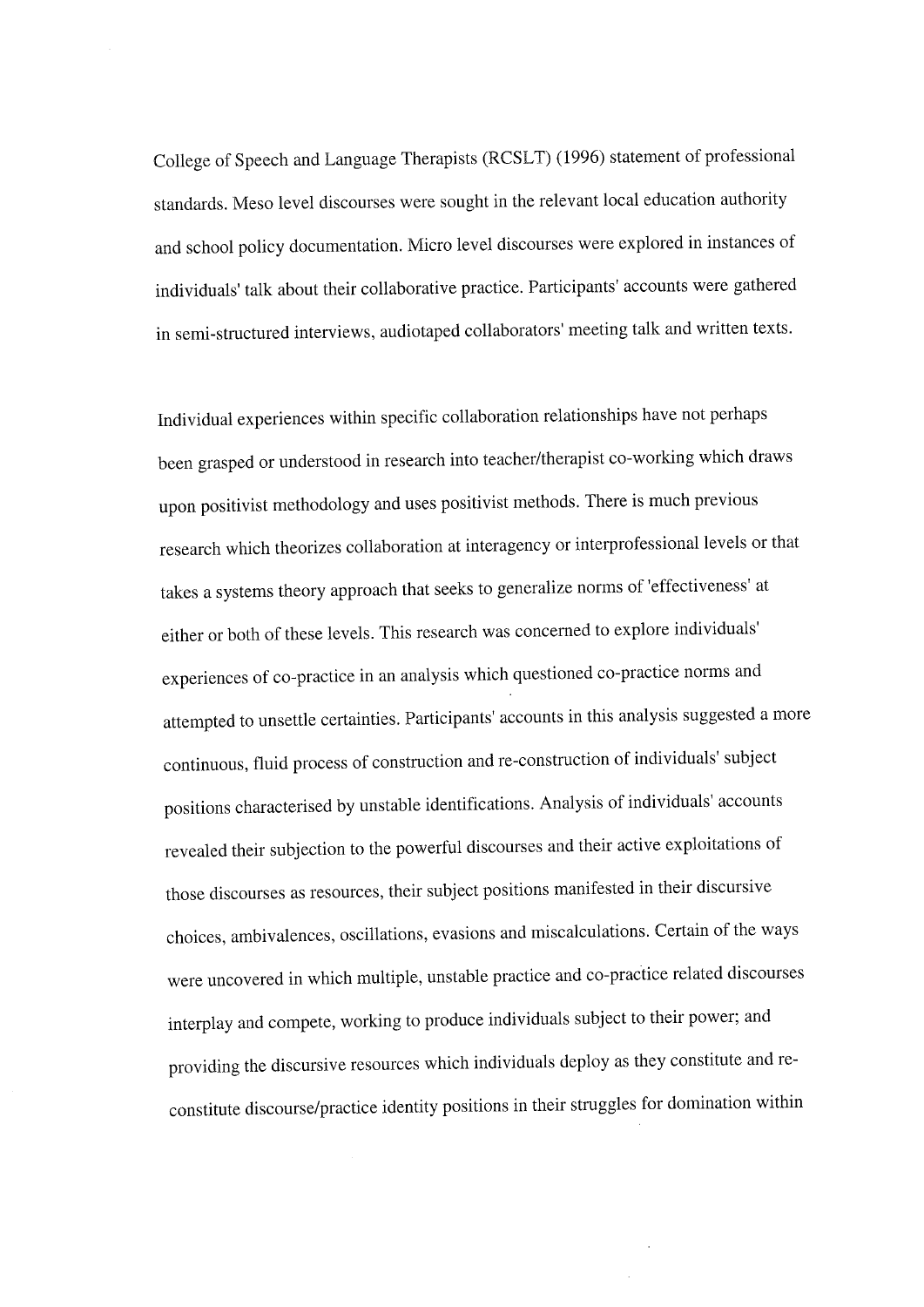College of Speech and Language Therapists (RCSLT) (1996) statement of professional standards. Meso level discourses were sought in the relevant local education authority and school policy documentation. Micro level discourses were explored in instances of individuals' talk about their collaborative practice. Participants' accounts were gathered in semi-structured interviews, audiotaped collaborators' meeting talk and written texts.

Individual experiences within specific collaboration relationships have not perhaps been grasped or understood in research into teacher/therapist co-working which draws upon positivist methodology and uses positivist methods. There is much previous research which theorizes collaboration at interagency or interprofessionallevels or that takes a systems theory approach that seeks to generalize norms of 'effectiveness' at either or both of these levels. This research was concerned to explore individuals' experiences of co-practice in an analysis which questioned co-practice norms and attempted to unsettle certainties. Participants' accounts in this analysis suggested a more continuous, fluid process of construction and re-construction of individuals' subject positions characterised by unstable identifications. Analysis of individuals' accounts revealed their subjection to the powerful discourses and their active exploitations of those discourses as resources, their subject positions manifested in their discursive choices, ambivalences, oscilations, evasions and miscalculations. Certain of the ways were uncovered in which multiple, unstable practice and co-practice related discourses interplay and compete, working to produce individuals subject to their power; and providing the discursive resources which individuals deploy as they constitute and reconstitute discourse/practice identity positions in their struggles for domination within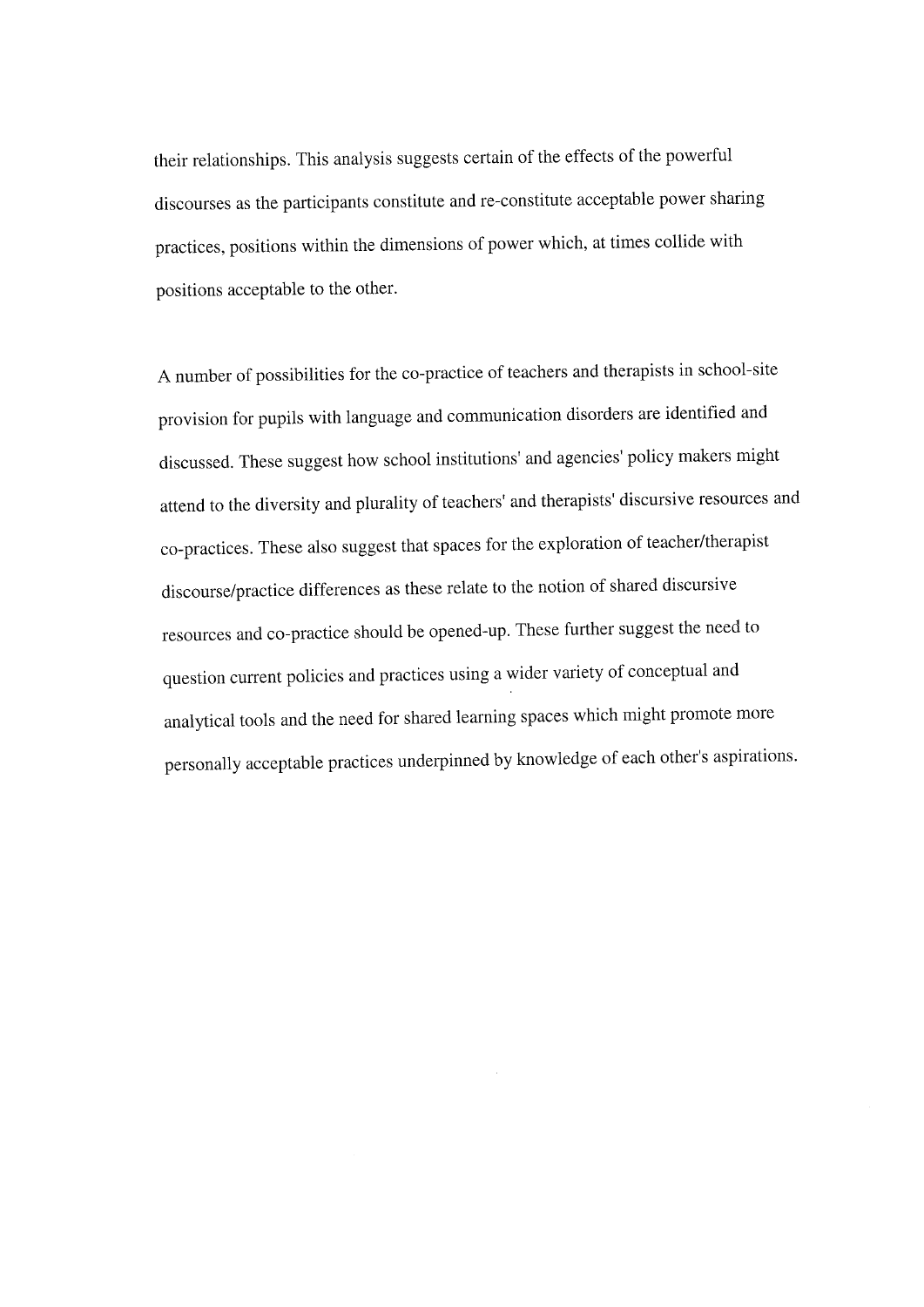their relationships. This analysis suggests certain of the effects of the powerful discourses as the participants constitute and re-constitute acceptable power sharing practices, positions within the dimensions of power which, at times collide with positions acceptable to the other.

A number of possibilities for the co-practice of teachers and therapists in school-site provision for pupils with language and communication disorders are identified and discussed. These suggest how school institutions' and agencies' policy makers might attend to the diversity and plurality of teachers' and therapists' discursive resources and co-practices. These also suggest that spaces for the exploration of teacher/therapist discourse/practice differences as these relate to the notion of shared discursive resources and co-practice should be opened-up. These further suggest the need to question current policies and practices using a wider variety of conceptual and analytical tools and the need for shared learning spaces which might promote more personally acceptable practices underpinned by knowledge of each other's aspirations.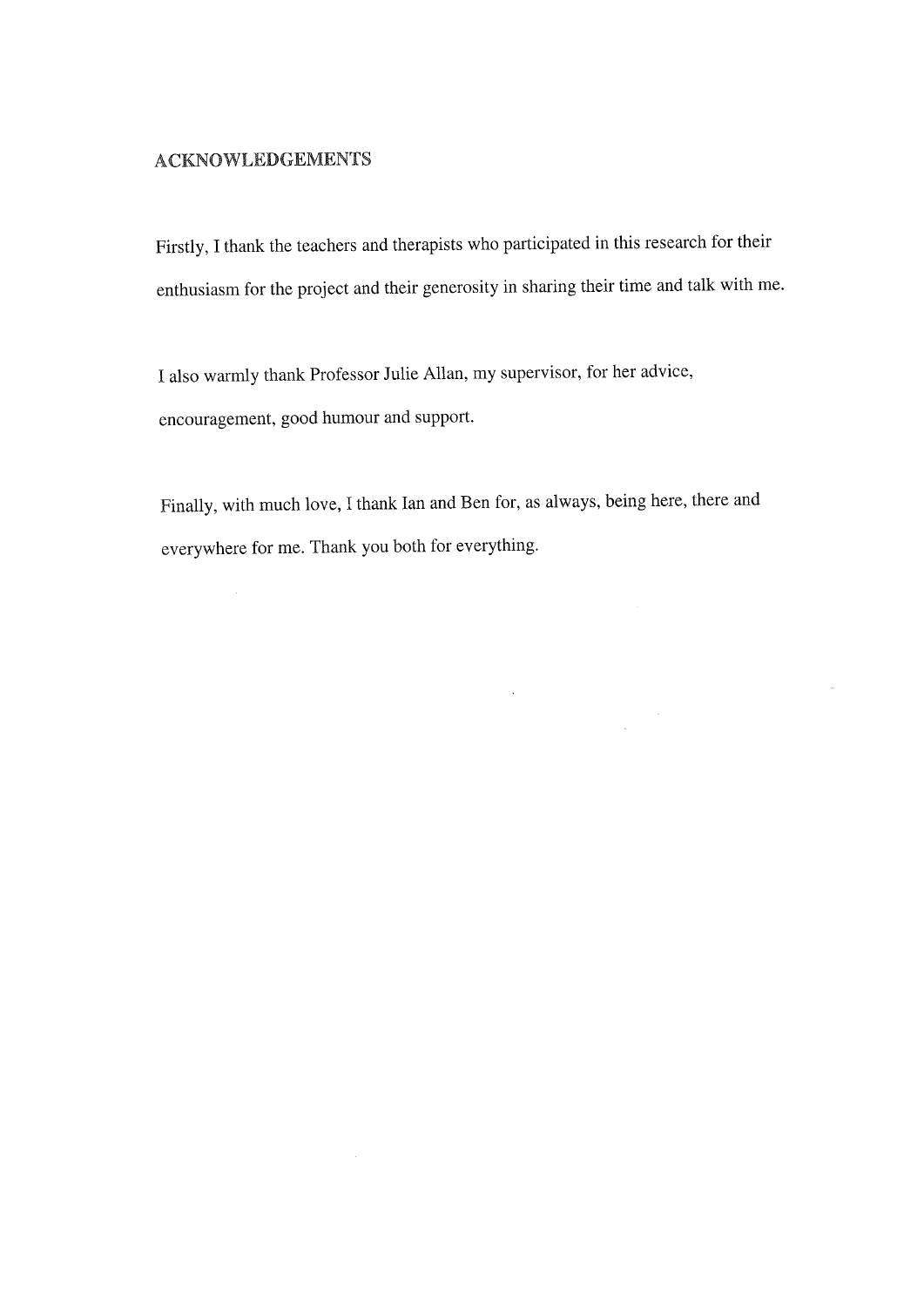# ACKNOWLEDGEMENTS

Firstly, I thank the teachers and therapists who participated in this research for their enthusiasm for the project and their generosity in sharing their time and talk with me.

I also warmly thank Professor Julie Allan, my supervisor, for her advice, encouragement, good humour and support.

Finally, with much love, I thank Ian and Ben for, as always, being here, there and everywhere for me. Thank you both for everything.

 $\ddot{\phantom{a}}$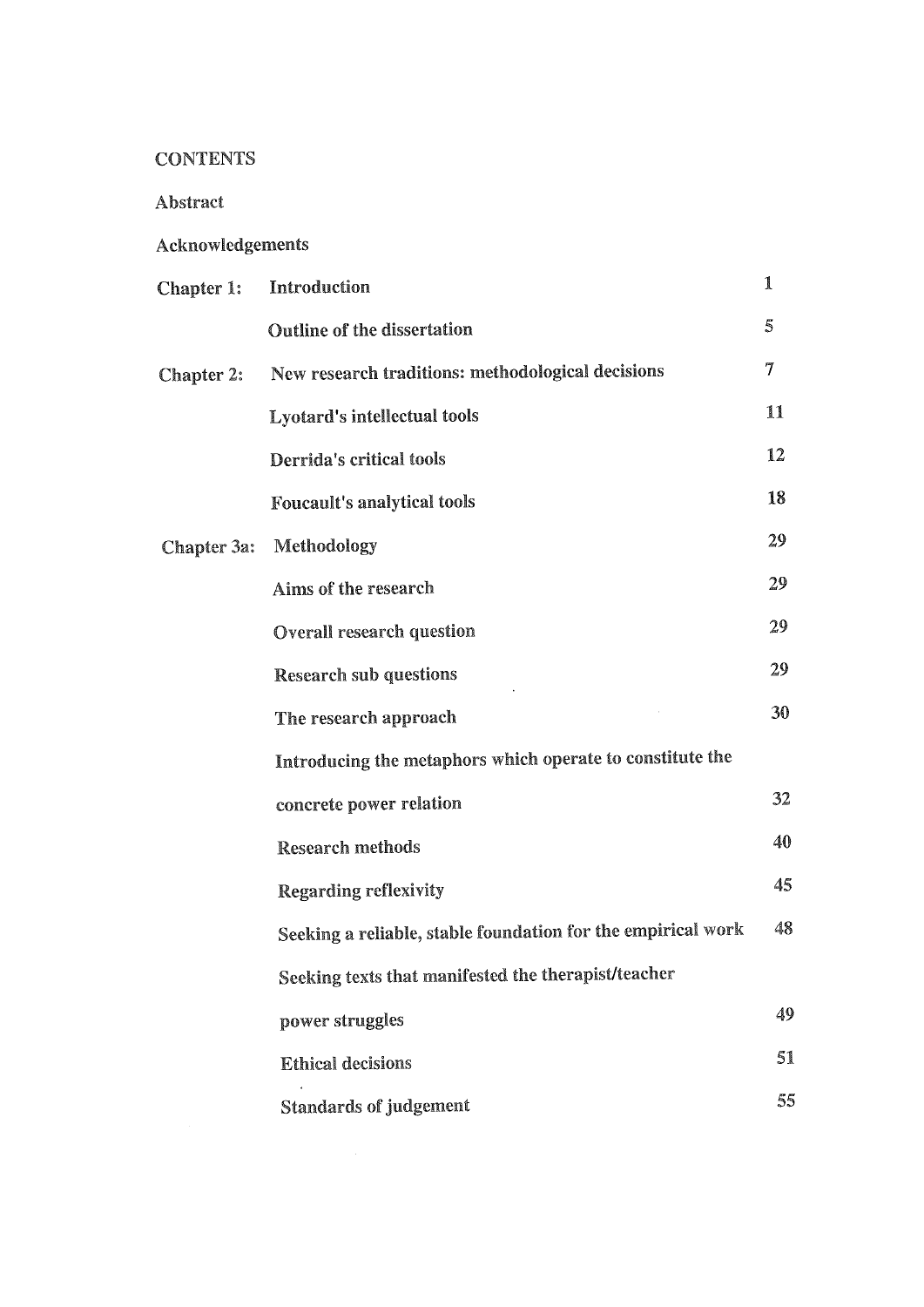CONTENTS

Abstract

# Acknowledgements

| TYPTATION INTO CAP ATTENDAD |                                                              |    |
|-----------------------------|--------------------------------------------------------------|----|
| Chapter 1:                  | Introduction                                                 | 1  |
|                             | <b>Outline of the dissertation</b>                           | 5  |
| Chapter 2:                  | New research traditions: methodological decisions            | 7  |
|                             | Lyotard's intellectual tools                                 | 11 |
|                             | <b>Derrida's critical tools</b>                              | 12 |
|                             | <b>Foucault's analytical tools</b>                           | 18 |
| Chapter 3a:                 | Methodology                                                  | 29 |
|                             | Aims of the research                                         | 29 |
|                             | <b>Overall research question</b>                             | 29 |
|                             | <b>Research sub questions</b>                                | 29 |
|                             | The research approach                                        | 30 |
|                             | Introducing the metaphors which operate to constitute the    |    |
|                             | concrete power relation                                      | 32 |
|                             | <b>Research methods</b>                                      | 40 |
|                             | <b>Regarding reflexivity</b>                                 | 45 |
|                             | Seeking a reliable, stable foundation for the empirical work | 48 |
|                             | Seeking texts that manifested the therapist/teacher          |    |
|                             | power struggles                                              | 49 |
|                             | <b>Ethical decisions</b>                                     | 51 |
|                             | <b>Standards of judgement</b>                                | 55 |
|                             |                                                              |    |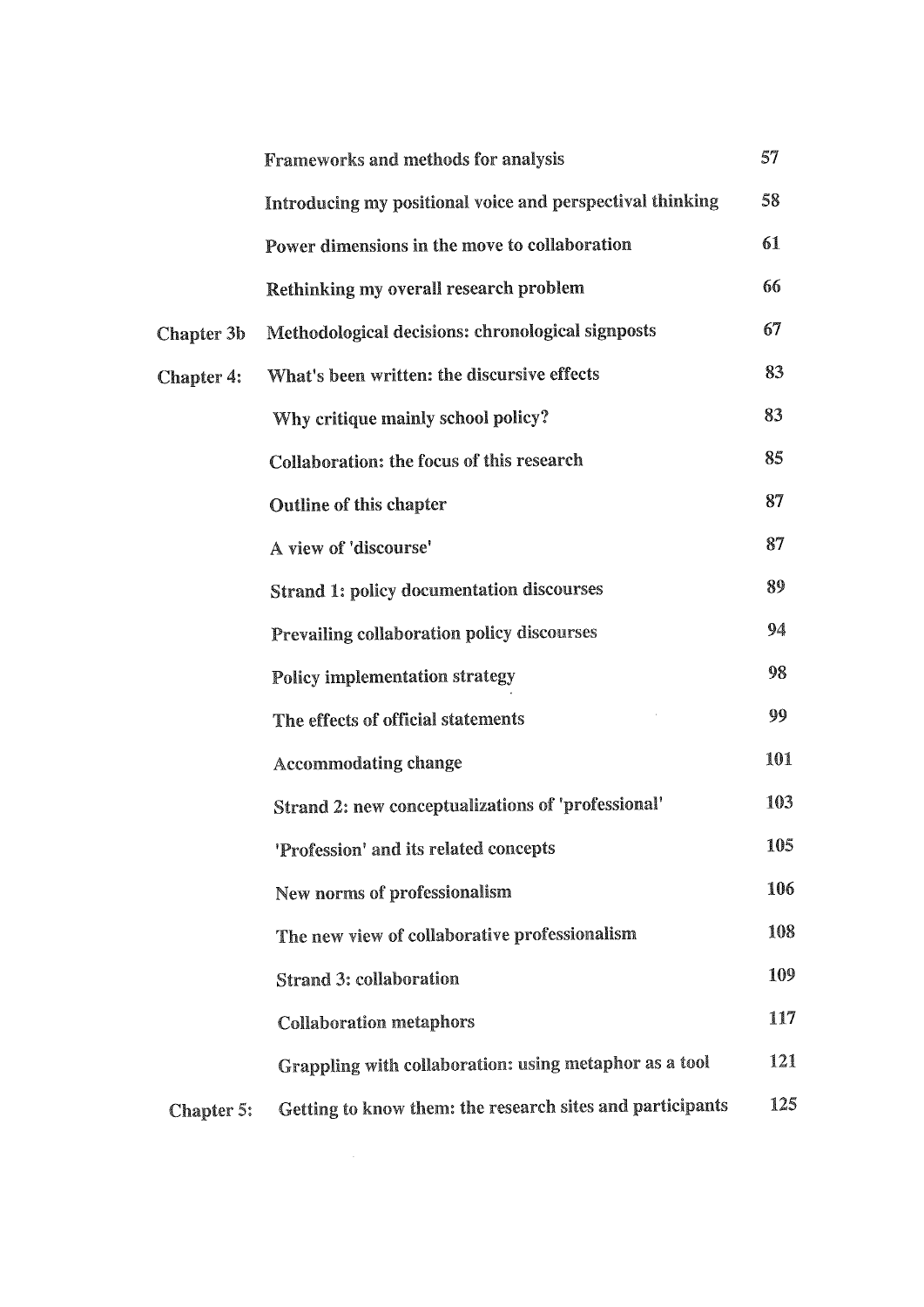|                   | <b>Frameworks and methods for analysis</b>                | 57  |
|-------------------|-----------------------------------------------------------|-----|
|                   | Introducing my positional voice and perspectival thinking | 58  |
|                   | Power dimensions in the move to collaboration             | 61  |
|                   | Rethinking my overall research problem                    | 66  |
| <b>Chapter 3b</b> | Methodological decisions: chronological signposts         | 67  |
| <b>Chapter 4:</b> | What's been written: the discursive effects               | 83  |
|                   | Why critique mainly school policy?                        | 83  |
|                   | <b>Collaboration: the focus of this research</b>          | 85  |
|                   | <b>Outline of this chapter</b>                            | 87  |
|                   | A view of 'discourse'                                     | 87  |
|                   | <b>Strand 1: policy documentation discourses</b>          | 89  |
|                   | Prevailing collaboration policy discourses                | 94  |
|                   | <b>Policy implementation strategy</b>                     | 98  |
|                   | The effects of official statements                        | 99  |
|                   | <b>Accommodating change</b>                               | 101 |
|                   | Strand 2: new conceptualizations of 'professional'        | 103 |
|                   | 'Profession' and its related concepts                     | 105 |
|                   | New norms of professionalism                              | 106 |
|                   | The new view of collaborative professionalism             | 108 |
|                   | <b>Strand 3: collaboration</b>                            | 109 |
|                   | <b>Collaboration metaphors</b>                            | 117 |
|                   | Grappling with collaboration: using metaphor as a tool    | 121 |
| Chapter 5:        | Getting to know them: the research sites and participants | 125 |
|                   |                                                           |     |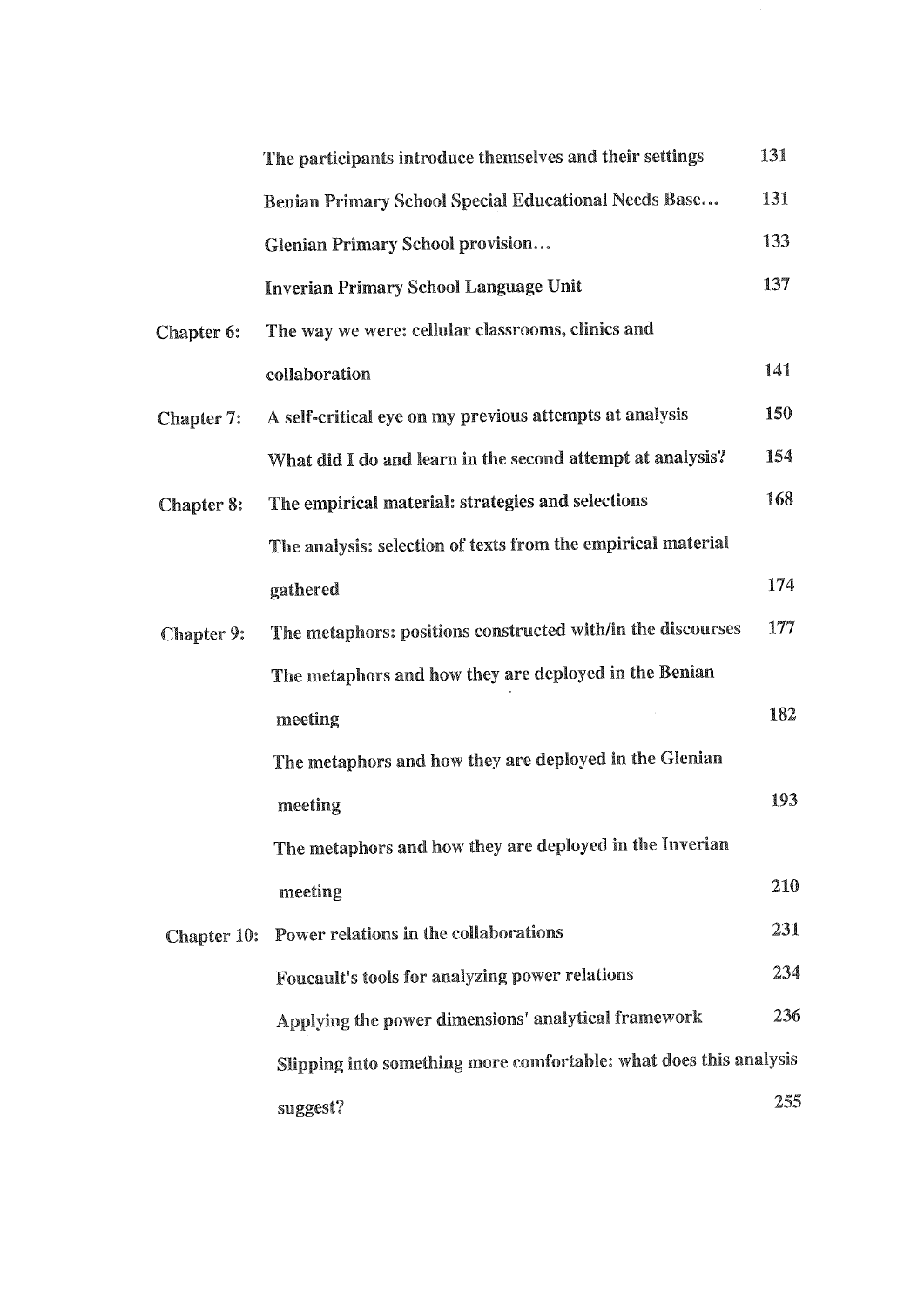|                   | The participants introduce themselves and their settings          | 131 |
|-------------------|-------------------------------------------------------------------|-----|
|                   | Benian Primary School Special Educational Needs Base              | 131 |
|                   | <b>Glenian Primary School provision</b>                           | 133 |
|                   | <b>Inverian Primary School Language Unit</b>                      | 137 |
| Chapter 6:        | The way we were: cellular classrooms, clinics and                 |     |
|                   | collaboration                                                     | 141 |
| Chapter 7:        | A self-critical eye on my previous attempts at analysis           | 150 |
|                   | What did I do and learn in the second attempt at analysis?        | 154 |
| <b>Chapter 8:</b> | The empirical material: strategies and selections                 | 168 |
|                   | The analysis: selection of texts from the empirical material      |     |
|                   | gathered                                                          | 174 |
| Chapter 9:        | The metaphors: positions constructed with/in the discourses       | 177 |
|                   | The metaphors and how they are deployed in the Benian             |     |
|                   | meeting                                                           | 182 |
|                   | The metaphors and how they are deployed in the Glenian            |     |
|                   | meeting                                                           | 193 |
|                   | The metaphors and how they are deployed in the Inverian           |     |
|                   | meeting                                                           | 210 |
| Chapter 10:       | Power relations in the collaborations                             | 231 |
|                   | Foucault's tools for analyzing power relations                    | 234 |
|                   | Applying the power dimensions' analytical framework               | 236 |
|                   | Slipping into something more comfortable: what does this analysis |     |
|                   | suggest?                                                          | 255 |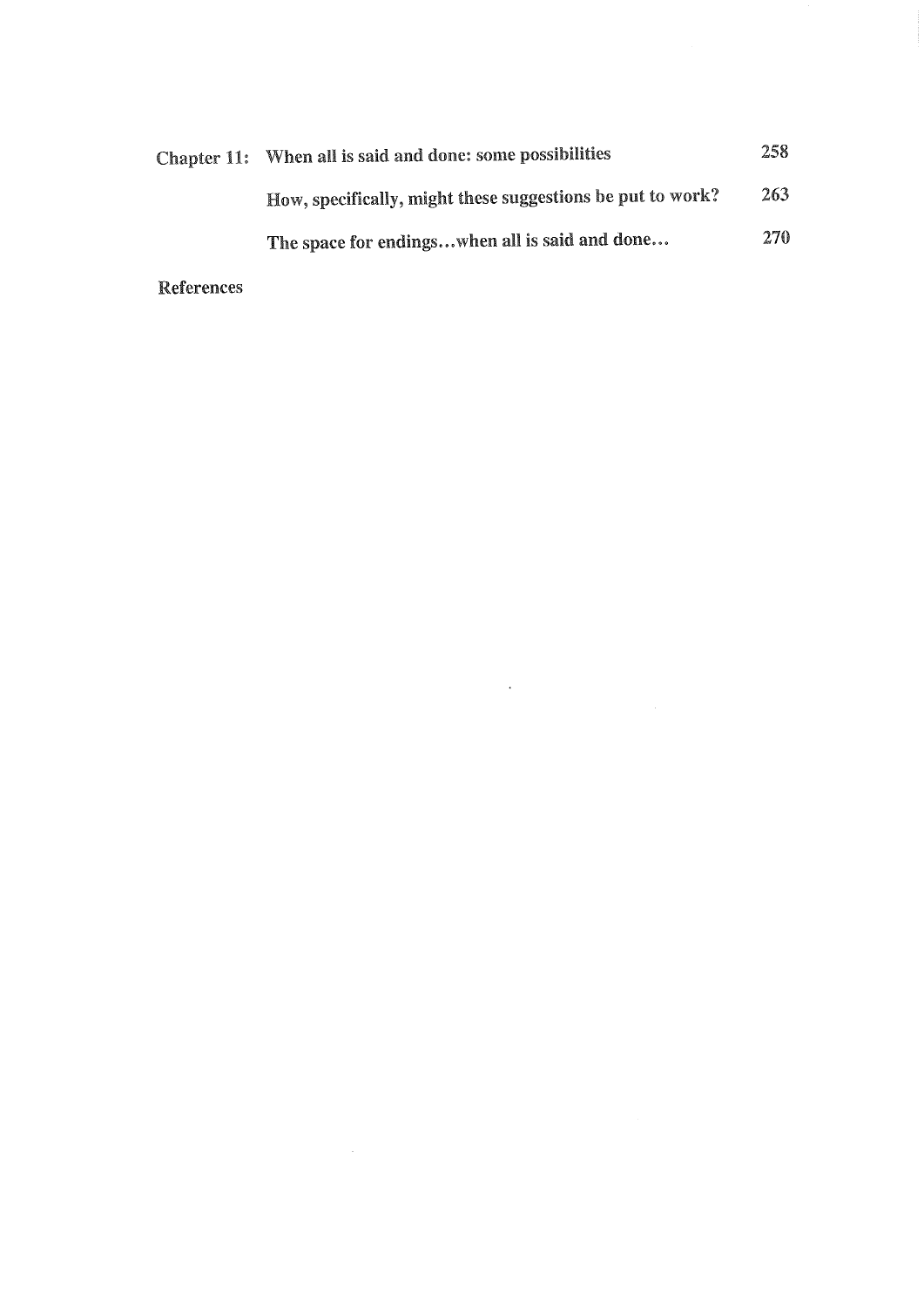|  | Chapter 11: When all is said and done: some possibilities  | 258 |
|--|------------------------------------------------------------|-----|
|  | How, specifically, might these suggestions be put to work? | 263 |
|  | The space for endingswhen all is said and done             | 270 |

 $\mathcal{L}^{\text{max}}_{\text{max}}$  , where  $\mathcal{L}^{\text{max}}_{\text{max}}$ 

References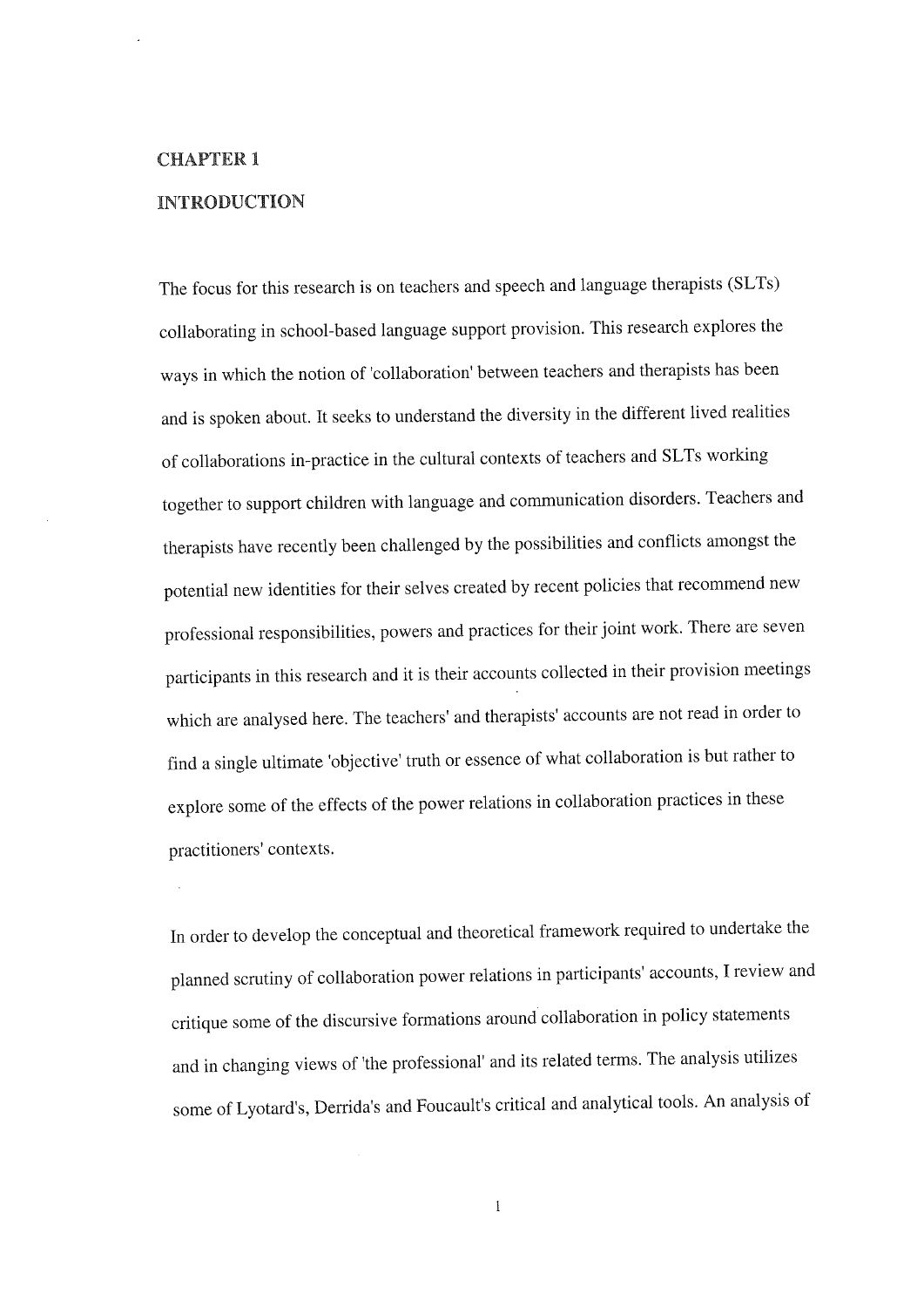#### CHAPTER 1

# INTRODUCTION

The focus for this research is on teachers and speech and language therapists (SLTs) collaborating in school-based language support provision. This research explores the ways in which the notion of 'collaboration' between teachers and therapists has been and is spoken about. It seeks to understand the diversity in the different lived realities of collaborations in-practice in the cultural contexts of teachers and SLTs working together to support children with language and communication disorders. Teachers and therapists have recently been challenged by the possibilities and conflicts amongst the potential new identities for their selves created by recent policies that recommend new professional responsibilities, powers and practices for their joint work. There are seven participants in this research and it is their accounts collected in their provision meetings which are analysed here. The teachers' and therapists' accounts are not read in order to find a single ultimate 'objective' truth or essence of what collaboration is but rather to explore some of the effects of the power relations in collaboration practices in these practitioners' contexts.

In order to develop the conceptual and theoretical framework required to undertake the planned scrutiny of collaboration power relations in participants' accounts, I review and critique some of the discursive formations around collaboration in policy statements and in changing views of 'the professional' and its related terms. The analysis utilizes some of Lyotard's, Derrida's and Foucault's critical and analytical tools. An analysis of

 $\mathbf{1}$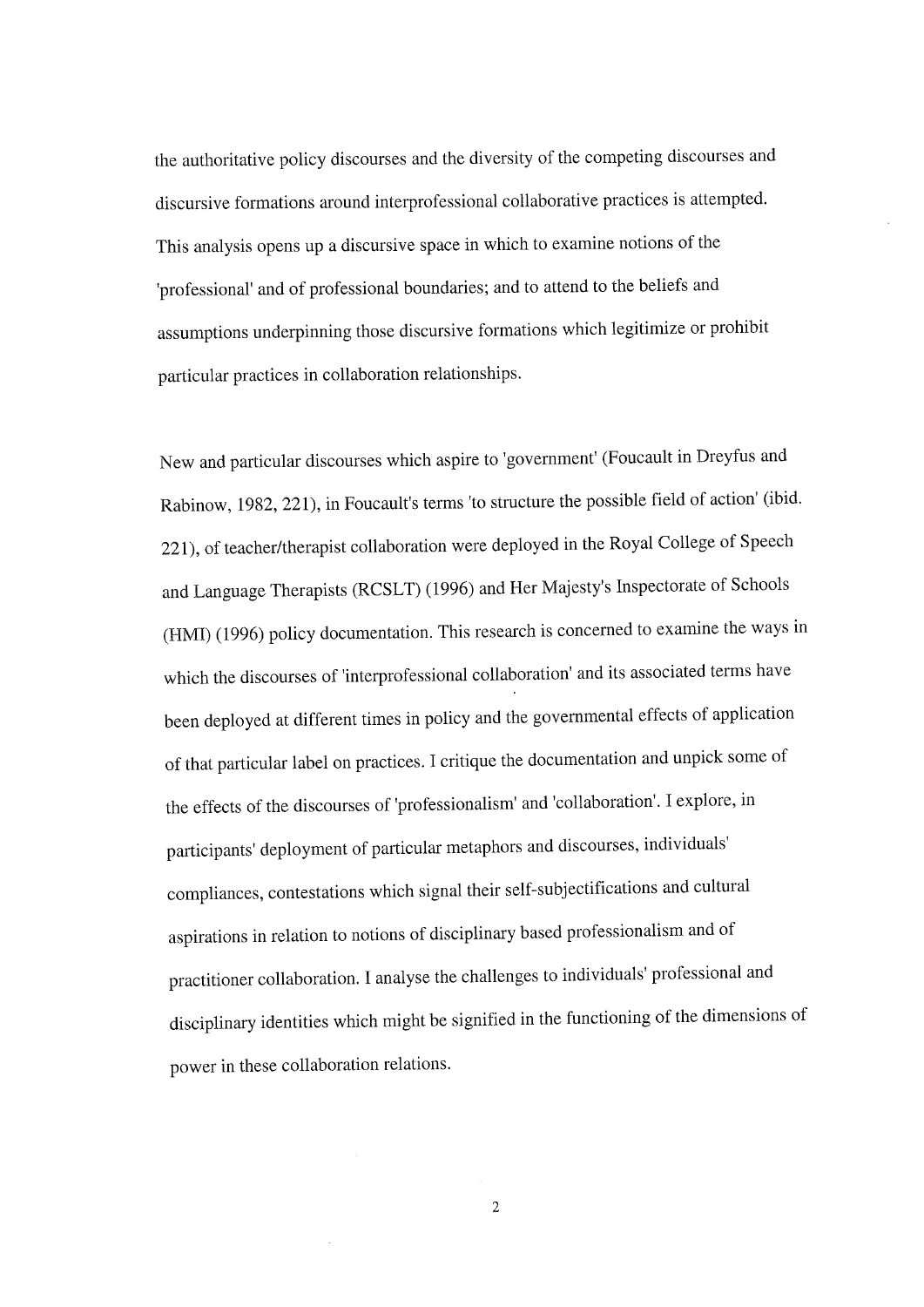the authoritative policy discourses and the diversity of the competing discourses and discursive formations around interprofessional collaborative practices is attempted. This analysis opens up a discursive space in which to examine notions of the 'professional' and of professional boundaries; and to attend to the beliefs and assumptions underpinning those discursive formations which legitimize or prohibit paricular practices in collaboration relationships.

New and particular discourses which aspire to 'government' (Foucault in Dreyfus and Rabinow, 1982,221), in Foucault's terms 'to structure the possible field of action' (ibid. 221), of teacher/therapist collaboration were deployed in the Royal College of Speech and Language Therapists (RCSLT) (1996) and Her Majesty's Inspectorate of Schools (HMI) (1996) policy documentation. This research is concerned to examine the ways in which the discourses of 'interprofessional collaboration' and its associated terms have been deployed at different times in policy and the governmental effects of application of that paricular label on practices. I critique the documentation and unpick some of the effects of the discourses of 'professionalism' and 'collaboration'. I explore, in participants' deployment of particular metaphors and discourses, individuals' compliances, contestations which signal their self-subjectifications and cultural aspirations in relation to notions of disciplinary based professionalism and of practitioner collaboration. I analyse the challenges to individuals' professional and disciplinary identities which might be signified in the functioning of the dimensions of power in these collaboration relations.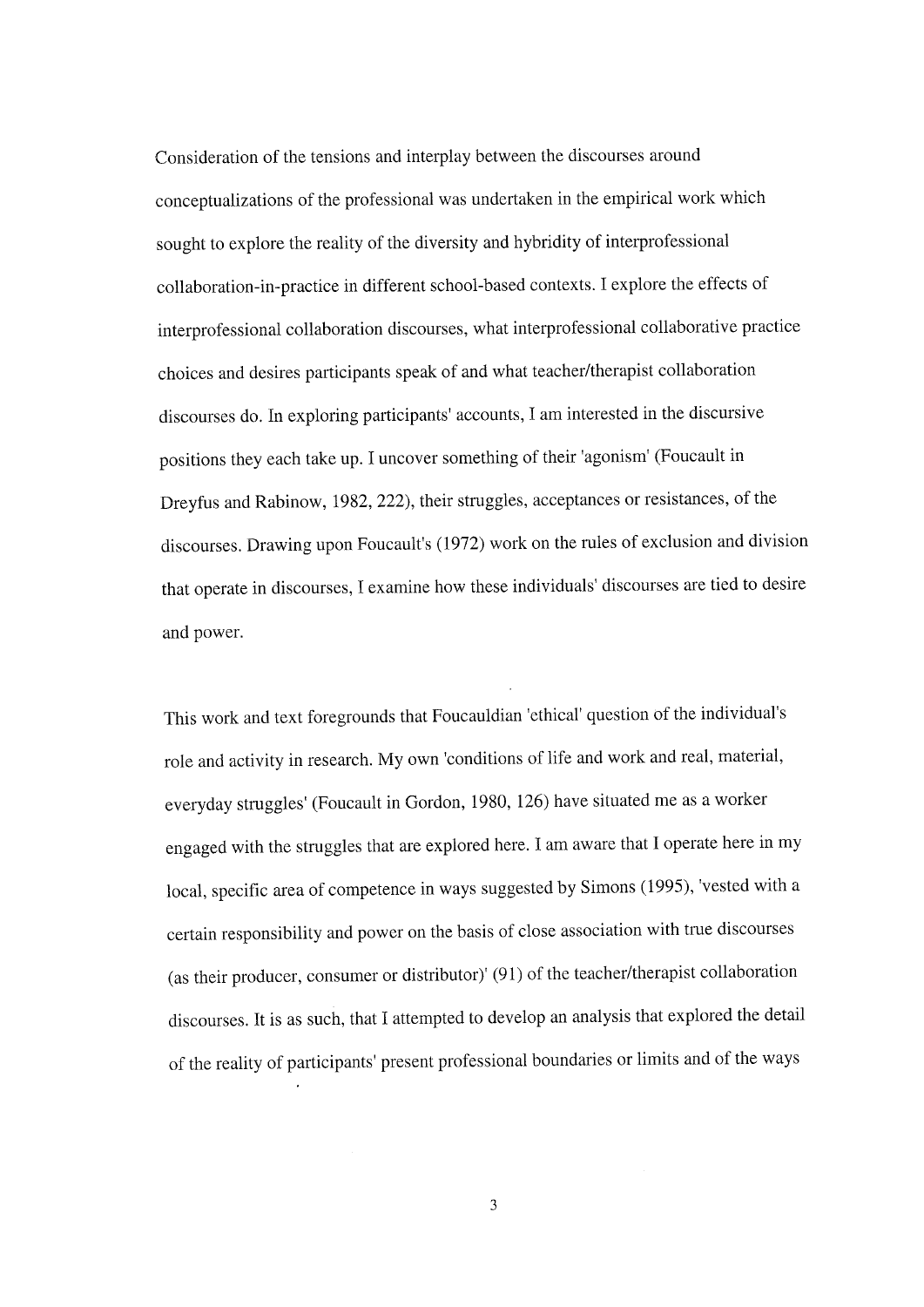Consideration of the tensions and interplay between the discourses around conceptualizations of the professional was undertaken in the empirical work which sought to explore the reality of the diversity and hybridity of interprofessional collaboration-in-practice in different school-based contexts. I explore the effects of interprofessional collaboration discourses, what interprofessional collaborative practice choices and desires paricipants speak of and what teacher/therapist collaboration discourses do. In exploring participants' accounts, I am interested in the discursive positions they each take up. I uncover something of their 'agonism' (Foucault in Dreyfus and Rabinow, 1982,222), their struggles, acceptances or resistances, of the discourses. Drawing upon Foucault's (1972) work on the rules of exclusion and division that operate in discourses, I examine how these individuals' discourses are tied to desire and power.

This work and text foregrounds that Foucauldian 'ethical' question of the individual's role and activity in research. My own 'conditions of life and work and real, material, everyday struggles' (Foucault in Gordon, 1980, 126) have situated me as a worker engaged with the struggles that are explored here. I am aware that I operate here in my local, specific area of competence in ways suggested by Simons (1995), 'vested with a certain responsibility and power on the basis of close association with tiue discourses (as their producer, consumer or distributor)' (91) of the teacher/therapist collaboration discourses. It is as such, that I attempted to develop an analysis that explored the detail of the reality of participants' present professional boundaries or limits and of the ways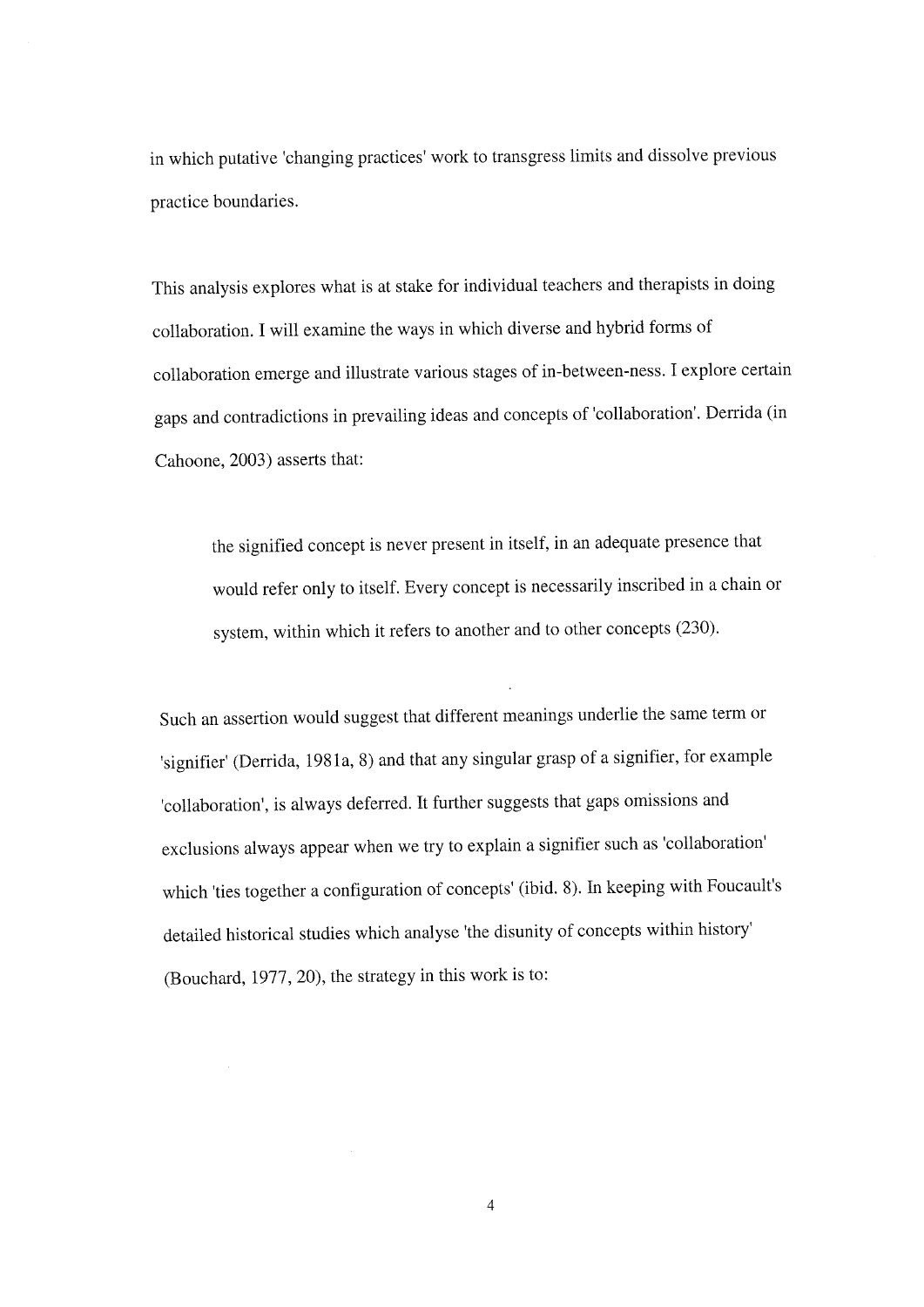in which putative 'changing practices' work to transgress limits and dissolve previous practice boundaries.

This analysis explores what is at stake for individual teachers and therapists in doing collaboration. I will examine the ways in which diverse and hybrid forms of collaboration emerge and ilustrate various stages of in-between-ness. I explore certain gaps and contradictions in prevailing ideas and concepts of 'collaboration'. Derrida (in Cahoone, 2003) asserts that:

the signified concept is never present in itself, in an adequate presence that would refer only to itself. Every concept is necessarily inscribed in a chain or system, within which it refers to another and to other concepts (230).

Such an assertion would suggest that different meanings underlie the same term or 'signifier' (Derrida, 1981a, 8) and that any singular grasp of a signifier, for example 'collaboration', is always deferred. It further suggests that gaps omissions and exclusions always appear when we try to explain a signifier such as 'collaboration' which 'ties together a configuration of concepts' (ibid. 8). In keeping with Foucault's detailed historical studies which analyse 'the disunity of concepts within history' (Bouchard, 1977, 20), the strategy in this work is to: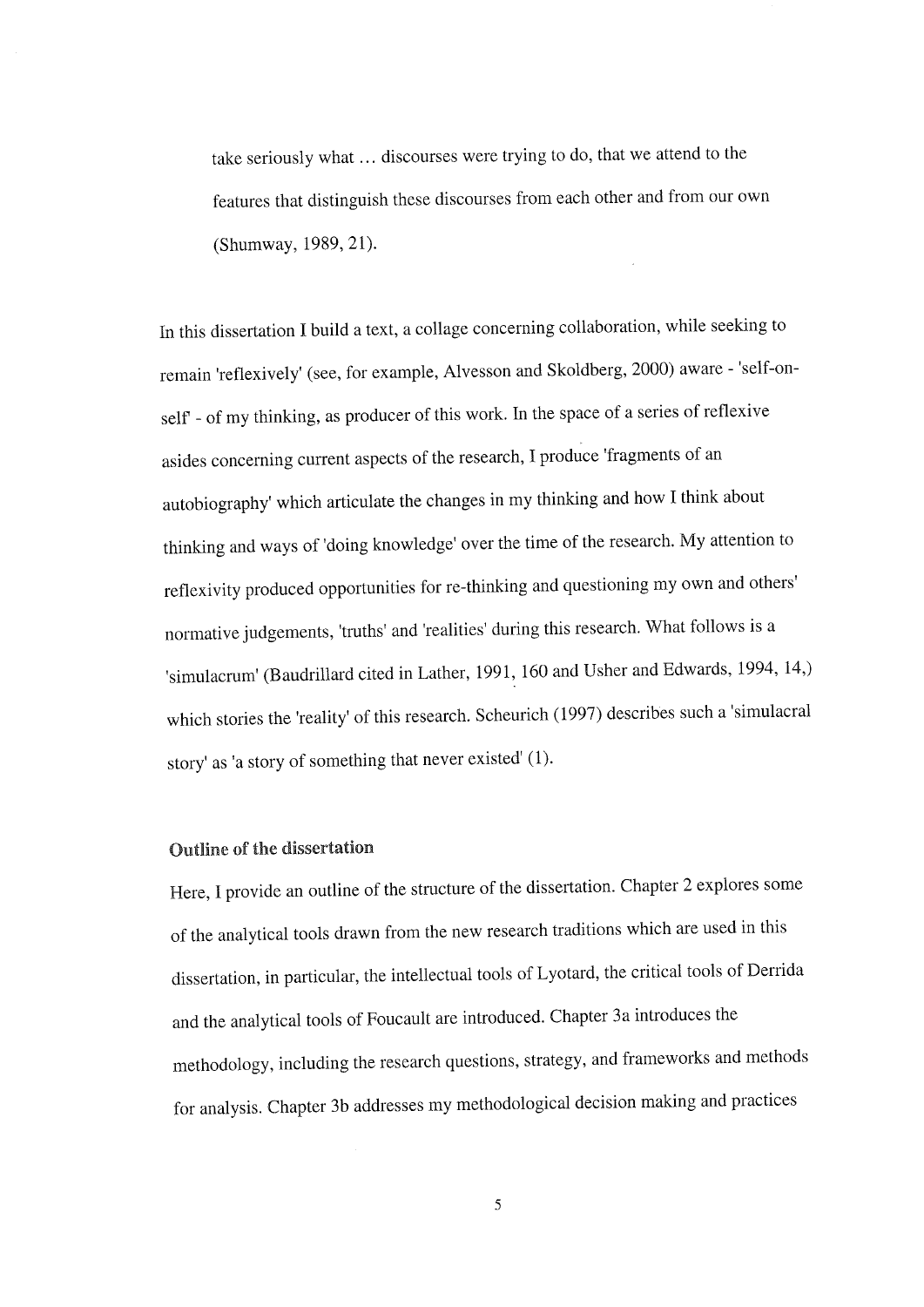take seriously what... discourses were trying to do, that we attend to the features that distinguish these discourses from each other and from our own (Shumway, 1989,21).

In this dissertation I build a text, a collage concerning collaboration, while seeking to remain 'reflexively' (see, for example, Alvesson and Skoldberg, 2000) aware - 'self-onself - of my thinking, as producer of this work. In the space of a series of reflexive asides concerning current aspects of the research, I produce 'fragments of an autobiography' which articulate the changes in my thinking and how I think about thinking and ways of 'doing knowledge' over the time of the research. My attention to reflexivity produced opportunities for re-thinking and questioning my own and others' normative judgements, 'truths' and 'realities' during this research. What follows is a 'simulacrum' (Baudrilard cited in Lather, 1991, 160 and Usher and Edwards, 1994, 14,) which stories the 'reality' of this research. Scheurich (1997) describes such a 'simulacral story' as 'a story of something that never existed' (1).

# Outlne of the dissertation

Here, I provide an outline of the structure of the dissertation. Chapter 2 explores some of the analytical tools drawn from the new research traditions which are used in this dissertation, in particular, the intellectual tools of Lyotard, the critical tools of Derrida and the analytical tools of Foucault are introduced. Chapter 3a introduces the methodology, including the research questions, strategy, and frameworks and methods for analysis. Chapter 3b addresses my methodological decision making and practices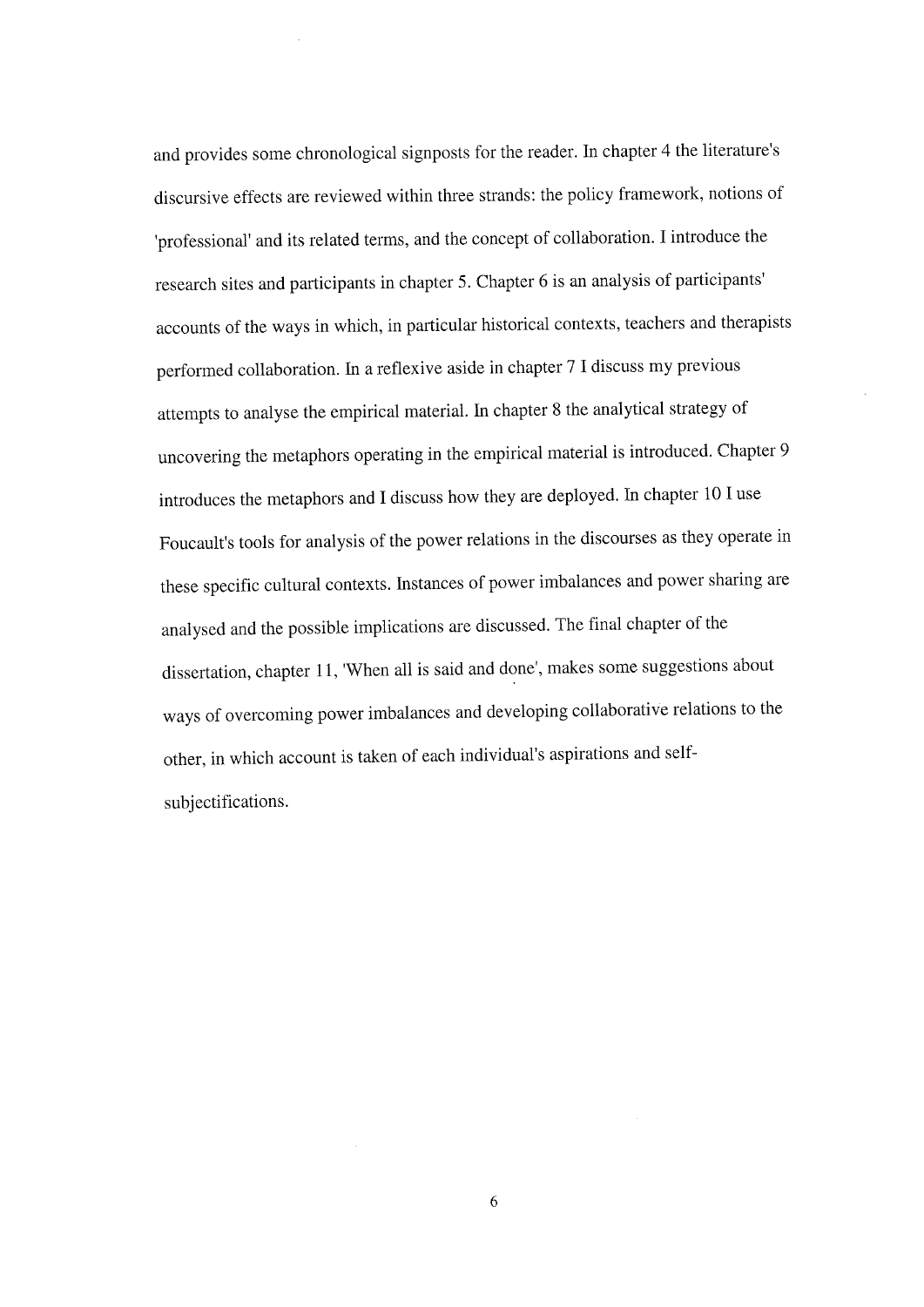and provides some chronological signposts for the reader. In chapter 4 the literature's discursive effects are reviewed within three strands: the policy framework, notions of 'professional' and its related terms, and the concept of collaboration. I introduce the research sites and paricipants in chapter 5. Chapter 6 is an analysis of participants' accounts of the ways in which, in particular historical contexts, teachers and therapists performed collaboration. In a reflexive aside in chapter 7 I discuss my previous attempts to analyse the empirical materiaL. In chapter 8 the analytical strategy of uncovering the metaphors operating in the empirical material is introduced. Chapter 9 introduces the metaphors and I discuss how they are deployed. In chapter 10 I use Foucault's tools for analysis of the power relations in the discourses as they operate in these specific cultural contexts. Instances of power imbalances and power sharing are analysed and the possible implications are discussed. The final chapter of the dissertation, chapter 11, 'When all is said and done', makes some suggestions about ways of overcoming power imbalances and developing collaborative relations to the other, in which account is taken of each individual's aspirations and selfsubjectifications.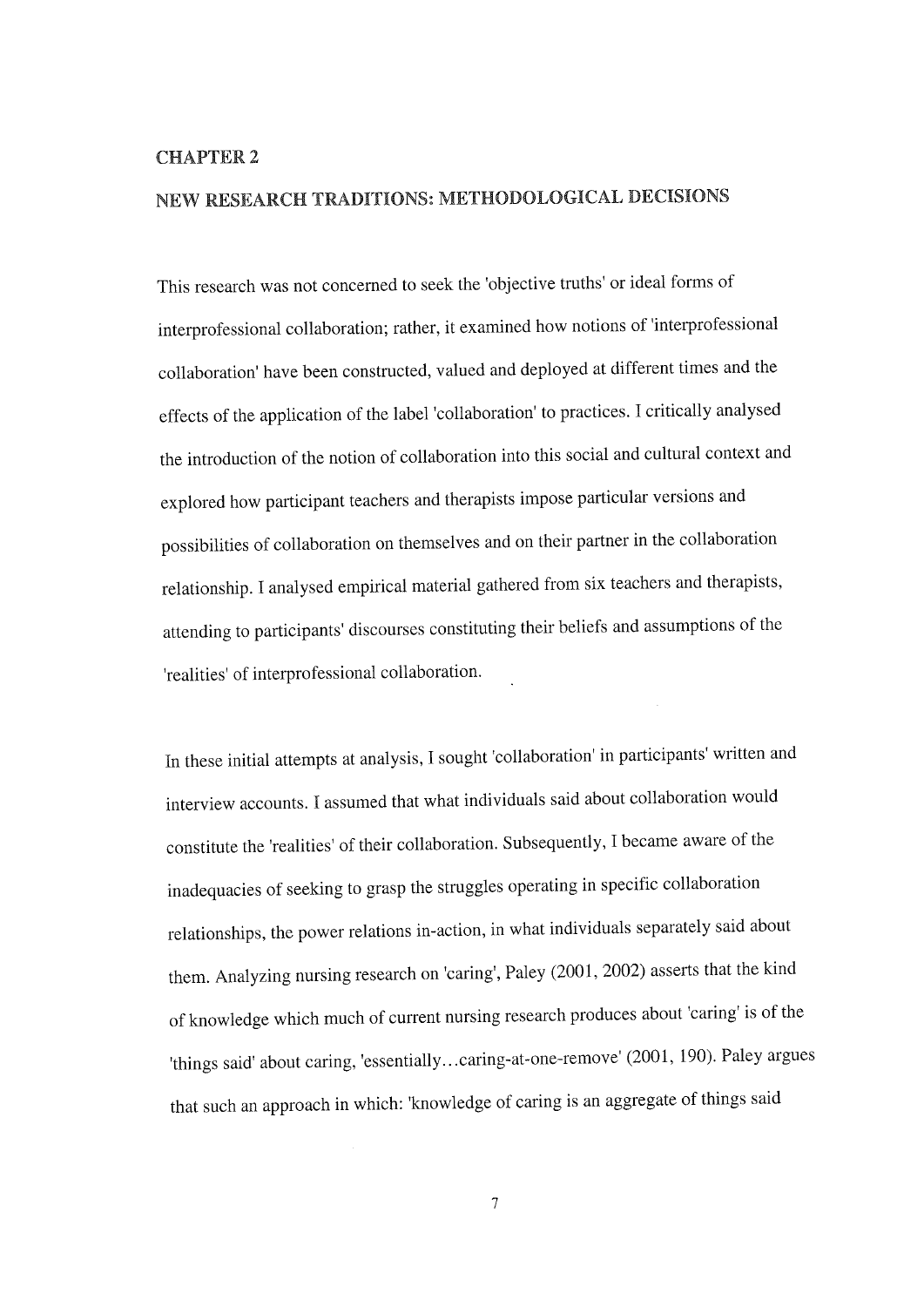#### CHAPTER 2

# NEW RESEARCH TRADITIONS: METHODOLOGICAL DECISIONS

This research was not concerned to seek the 'objective truths' or ideal forms of interprofessional collaboration; rather, it examined how notions of'interprofessional collaboration' have been constructed, valued and deployed at different times and the effects of the application of the label 'collaboration' to practices. I critically analysed the introduction of the notion of collaboration into this social and cultural context and explored how participant teachers and therapists impose particular versions and possibilities of collaboration on themselves and on their partner in the collaboration relationship. I analysed empirical material gathered from six teachers and therapists, attending to participants' discourses constituting their beliefs and assumptions of the 'realities' of interprofessional collaboration.

In these initial attempts at analysis, I sought 'collaboration' in participants' written and interview accounts. I assumed that what individuals said about collaboration would constitute the 'realities' of their collaboration. Subsequently, I became aware of the inadequacies of seeking to grasp the struggles operating in specific collaboration relationships, the power relations in-action, in what individuals separately said about them. Analyzing nursing research on 'caring', Paley (2001, 2002) asserts that the kind of knowledge which much of current nursing research produces about 'caring' is of the 'things said' about caring, 'essentially.. .caring-at-one-remove' (2001, 190). Paley argues that such an approach in which: 'knowledge of caring is an aggregate of things said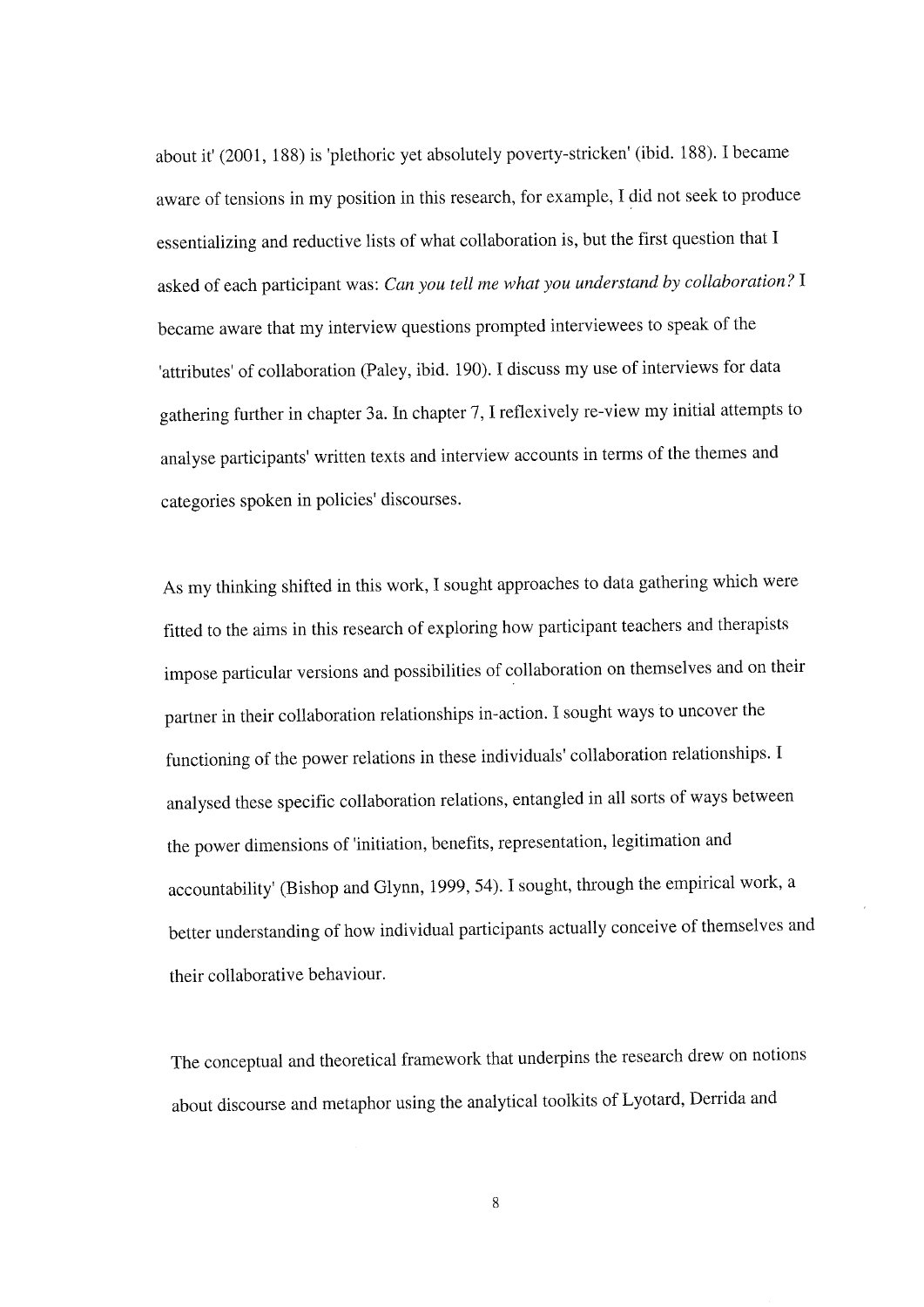about it' (2001, 188) is 'plethoric yet absolutely poverty-stricken' (ibid. 188). I became aware of tensions in my position in this research, for example, I did not seek to produce essentializing and reductive lists of what collaboration is, but the first question that I asked of each participant was: Can you tell me what you understand by collaboration? I became aware that my interview questions prompted interviewees to speak of the 'attributes' of collaboration (Paley, ibid. 190). I discuss my use of interviews for data gathering further in chapter 3a. In chapter 7, I reflexively re-view my initial attempts to analyse participants' written texts and interview accounts in terms of the themes and categories spoken in policies' discourses.

As my thinking shifted in this work, I sought approaches to data gathering which were fitted to the aims in this research of exploring how participant teachers and therapists impose particular versions and possibilities of collaboration on themselves and on their partner in their collaboration relationships in-action. I sought ways to uncover the functioning of the power relations in these individuals' collaboration relationships. I analysed these specific collaboration relations, entangled in all sorts of ways between the power dimensions of 'initiation, benefits, representation, legitimation and accountability' (Bishop and Glynn, 1999, 54). I sought, through the empirical work, a better understanding of how individual paricipants actually conceive of themselves and their collaborative behaviour.

The conceptual and theoretical framework that underpins the research drew on notions about discourse and metaphor using the analytical toolkits of Lyotard, Derrida and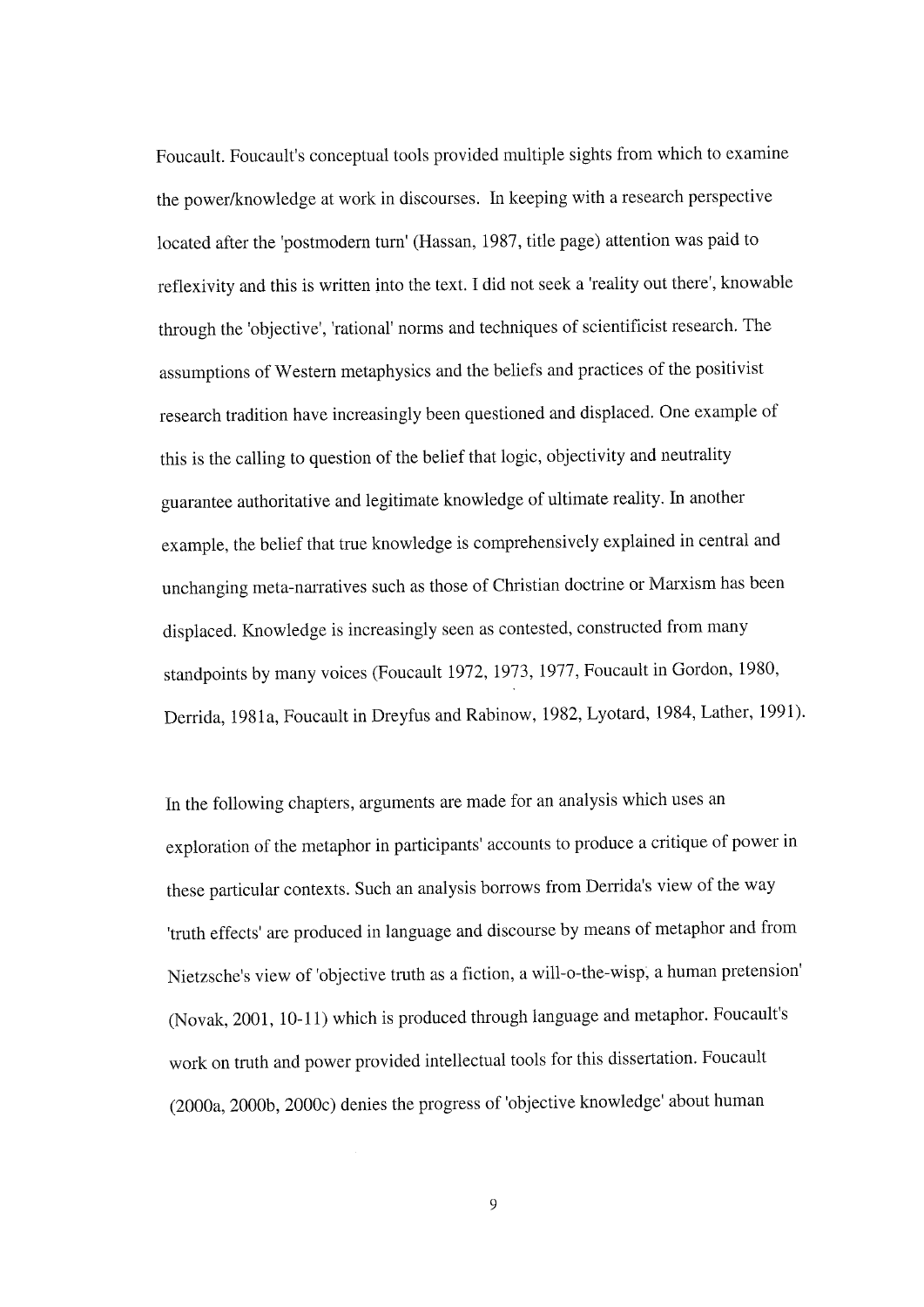Foucault. Foucault's conceptual tools provided multiple sights from which to examine the power/knowledge at work in discourses. In keeping with a research perspective located after the 'postmodem tum' (Hassan, 1987, title page) attention was paid to reflexivity and this is written into the text. I did not seek a 'reality out there', knowable through the 'objective', 'rational' norms and techniques of scientificist research. The assumptions of Western metaphysics and the beliefs and practices of the positivist research tradition have increasingly been questioned and displaced. One example of this is the callng to question of the belief that logic, objectivity and neutrality guarantee authoritative and legitimate knowledge of ultimate reality. In another example, the belief that true knowledge is comprehensively explained in central and unchanging meta-narratives such as those of Christian doctrine or Marxism has been displaced. Knowledge is increasingly seen as contested, constructed from many standpoints by many voices (Foucault 1972, 1973, 1977, Foucault in Gordon, 1980, Derrida, 1981a, Foucault in Dreyfus and Rabinow, 1982, Lyotard, 1984, Lather, 1991).

In the following chapters, arguments are made for an analysis which uses an exploration of the metaphor in participants' accounts to produce a critique of power in these particular contexts. Such an analysis borrows from Derrida's view of the way 'truth effects' are produced in language and discourse by means of metaphor and from Nietzsche's view of 'objective tiuth as a fiction, a wil-o-the-wisp, a human pretension' (Novak, 2001, 10-11) which is produced through language and metaphor. Foucault's work on truth and power provided intellectual tools for this dissertation. Foucault (2000a, 2000b, 2000c) denies the progress of 'objective knowledge' about human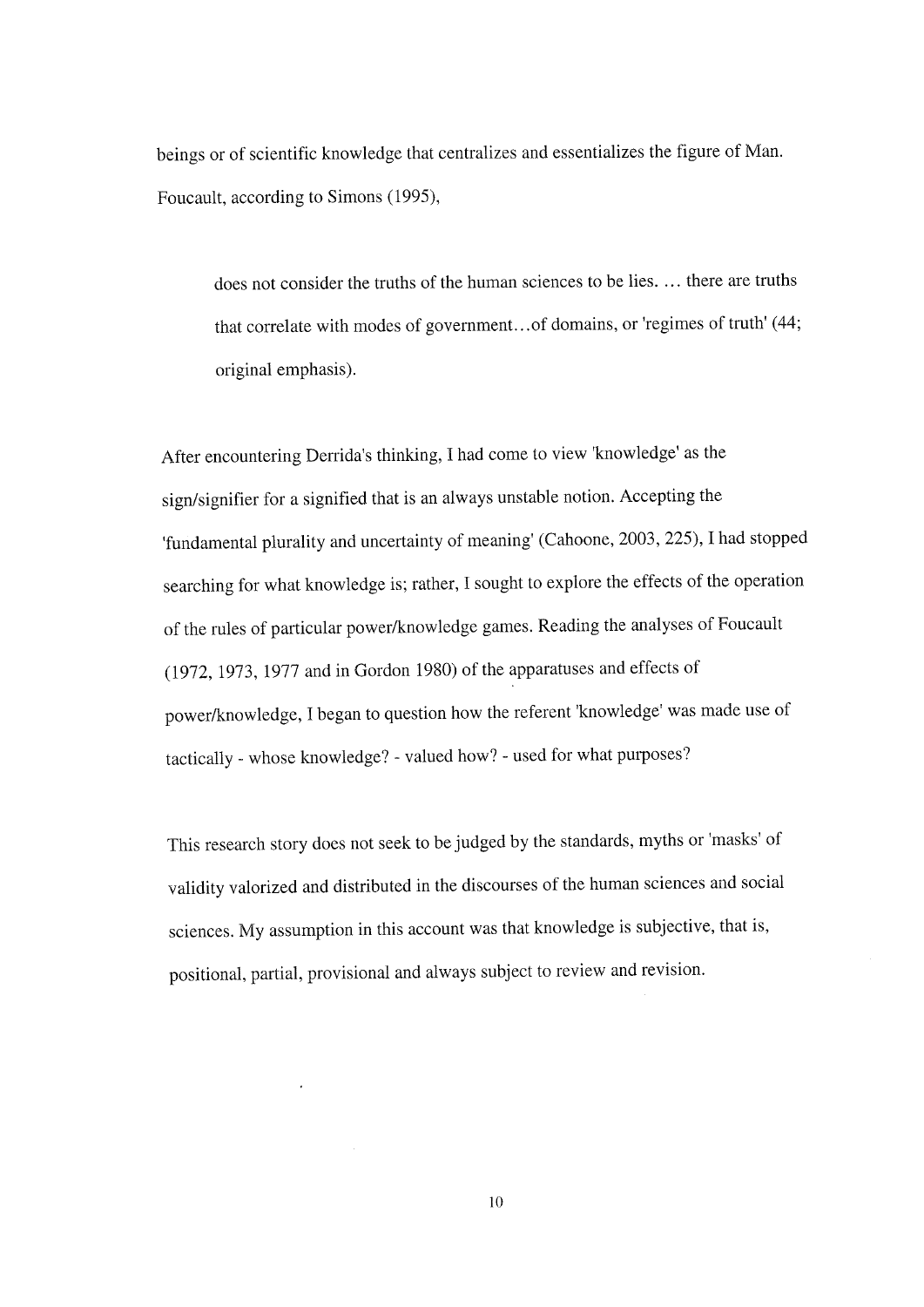beings or of scientific knowledge that centralizes and essentializes the figure of Man. Foucault, according to Simons (1995),

does not consider the truths of the human sciences to be lies. ... there are truths that correlate with modes of government.. .of domains, or 'regimes of truth' (44; original emphasis).

After encountering Derrida's thinking, I had come to view 'knowledge' as the sign/signifier for a signified that is an always unstable notion. Accepting the 'fundamental plurality and uncertainty of meaning' (Cahoone, 2003, 225), I had stopped searching for what knowledge is; rather, I sought to explore the effects of the operation of the rules of particular powerlknowledge games. Reading the analyses of Foucault (1972, 1973, 1977 and in Gordon 1980) of the apparatuses and effects of powerlknowledge, I began to question how the referent 'knowledge' was made use of tactically - whose knowledge? - valued how? - used for what purposes?

This research story does not seek to be judged by the standards, myths or 'masks' of validity valorized and distributed in the discourses of the human sciences and social sciences. My assumption in this account was that knowledge is subjective, that is, positional, partial, provisional and always subject to review and revision.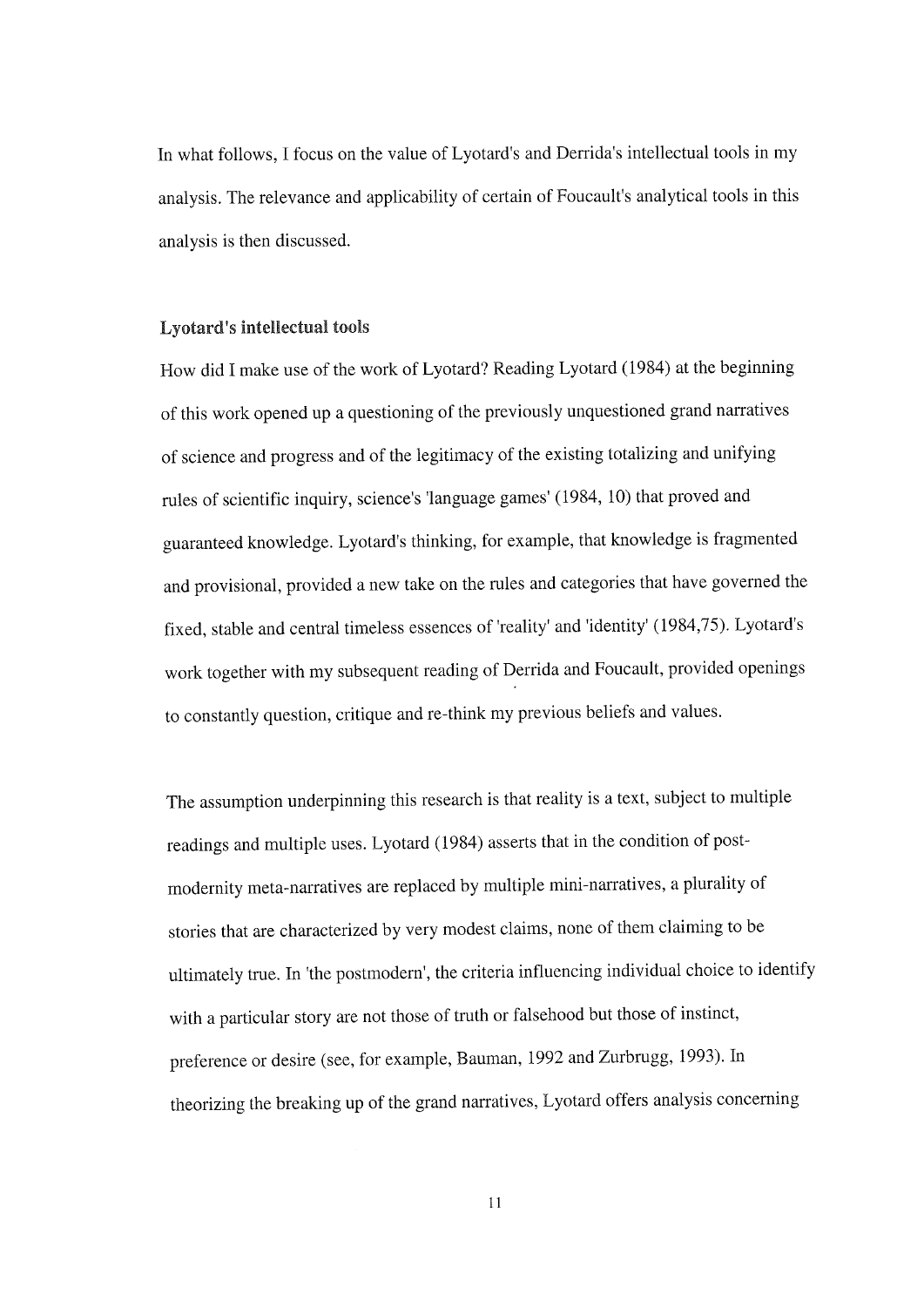In what follows, I focus on the value of Lyotard's and Derrida's intellectual tools in my analysis. The relevance and applicability of certain of Foucault's analytical tools in this analysis is then discussed.

#### Lyotard's intellectual tools

How did I make use of the work of Lyotard? Reading Lyotard (1984) at the beginning of this work opened up a questioning of the previously unquestioned grand narratives of science and progress and of the legitimacy of the existing totalizing and unifying rules of scientific inquiry, science's 'language games' (1984, 10) that proved and guaranteed knowledge. Lyotard's thinking, for example, that knowledge is fragmented and provisional, provided a new take on the rules and categories that have governed the fixed, stable and central timeless essences of 'reality' and 'identity' (1984,75). Lyotard's work together with my subsequent reading of Derrida and Foucault, provided openings to constantly question, critique and re-think my previous beliefs and values.

The assumption underpinning this research is that reality is a text, subject to multiple readings and multiple uses. Lyotard (1984) asserts that in the condition of postmodernity meta-narratives are replaced by multiple mini-narratives, a plurality of stories that are characterized by very modest claims, none of them claiming to be ultimately true. In 'the postmodern', the criteria influencing individual choice to identify with a particular story are not those of truth or falsehood but those of instinct, preference or desire (see, for example, Bauman, 1992 and Zurbrugg, 1993). In theorizing the breaking up of the grand naratives, Lyotard offers analysis concerning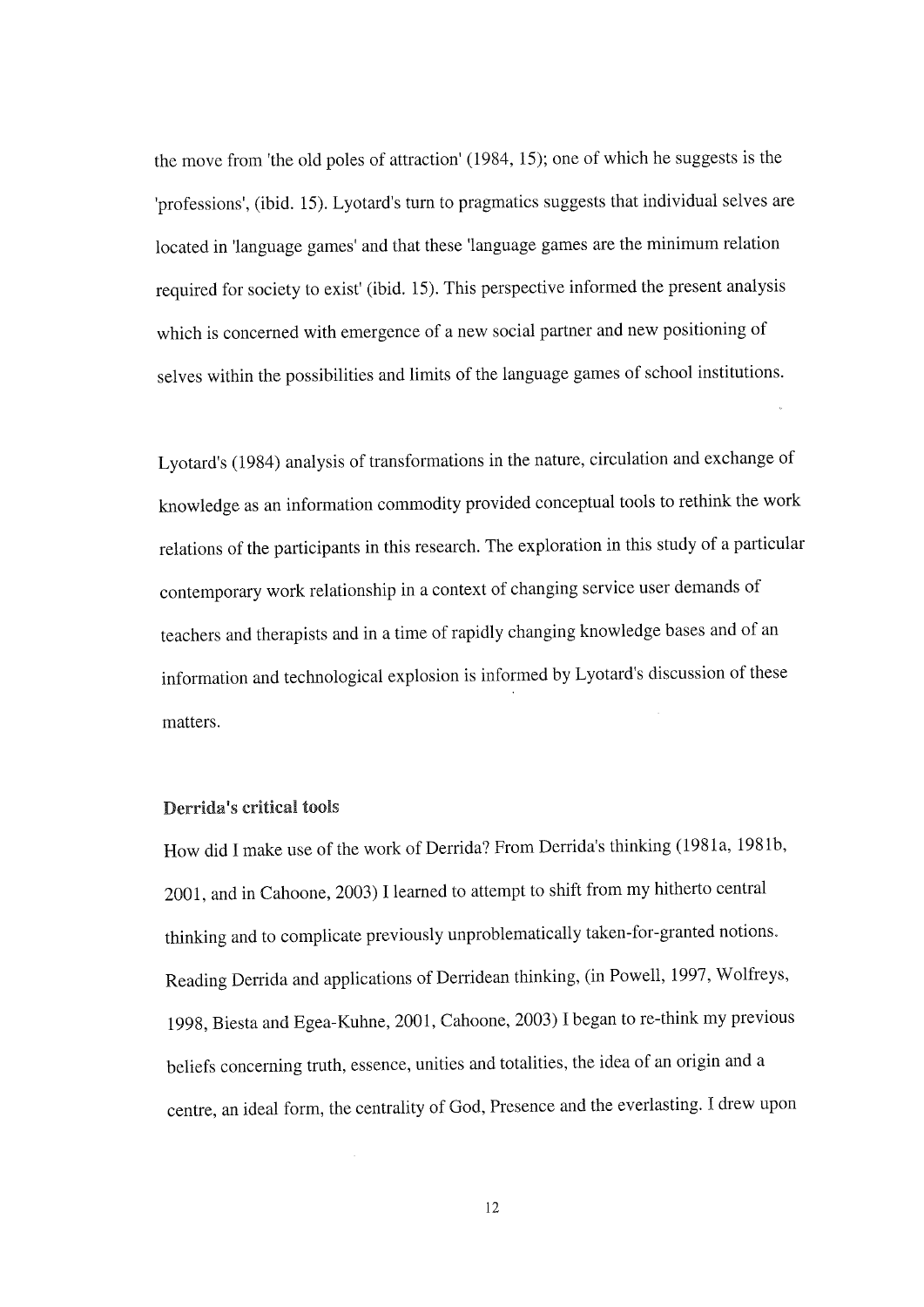the move from 'the old poles of attraction' (1984, 15); one of which he suggests is the 'professions', (ibid. 15). Lyotard's turn to pragmatics suggests that individual selves are located in 'language games' and that these 'language games are the minimum relation required for society to exist' (ibid. 15). This perspective informed the present analysis which is concerned with emergence of a new social partner and new positioning of selves within the possibilities and limits of the language games of school institutions.

Lyotard's (1984) analysis of transformations in the nature, circulation and exchange of knowledge as an information commodity provided conceptual tools to rethink the work relations of the participants in this research. The exploration in this study of a particular contemporary work relationship in a context of changing service user demands of teachers and therapists and in a time of rapidly changing knowledge bases and of an information and technological explosion is informed by Lyotard's discussion of these matters.

# Derrida's critical tools

How did I make use of the work of Derrida? From Derrida's thinking (1981a, 1981b, 2001, and in Cahoone, 2003) I learned to attempt to shift from my hitherto central thinking and to complicate previously unproblematically taken-for-granted notions. Reading Derrida and applications of Derridean thinking, (in Powell, 1997, Wolfreys, 1998, Biesta and Egea-Kuhne, 2001, Cahoone, 2003) I began to re-think my previous beliefs concerning truth, essence, unities and totalities, the idea of an origin and a centre, an ideal form, the centrality of God, Presence and the everlasting. I drew upon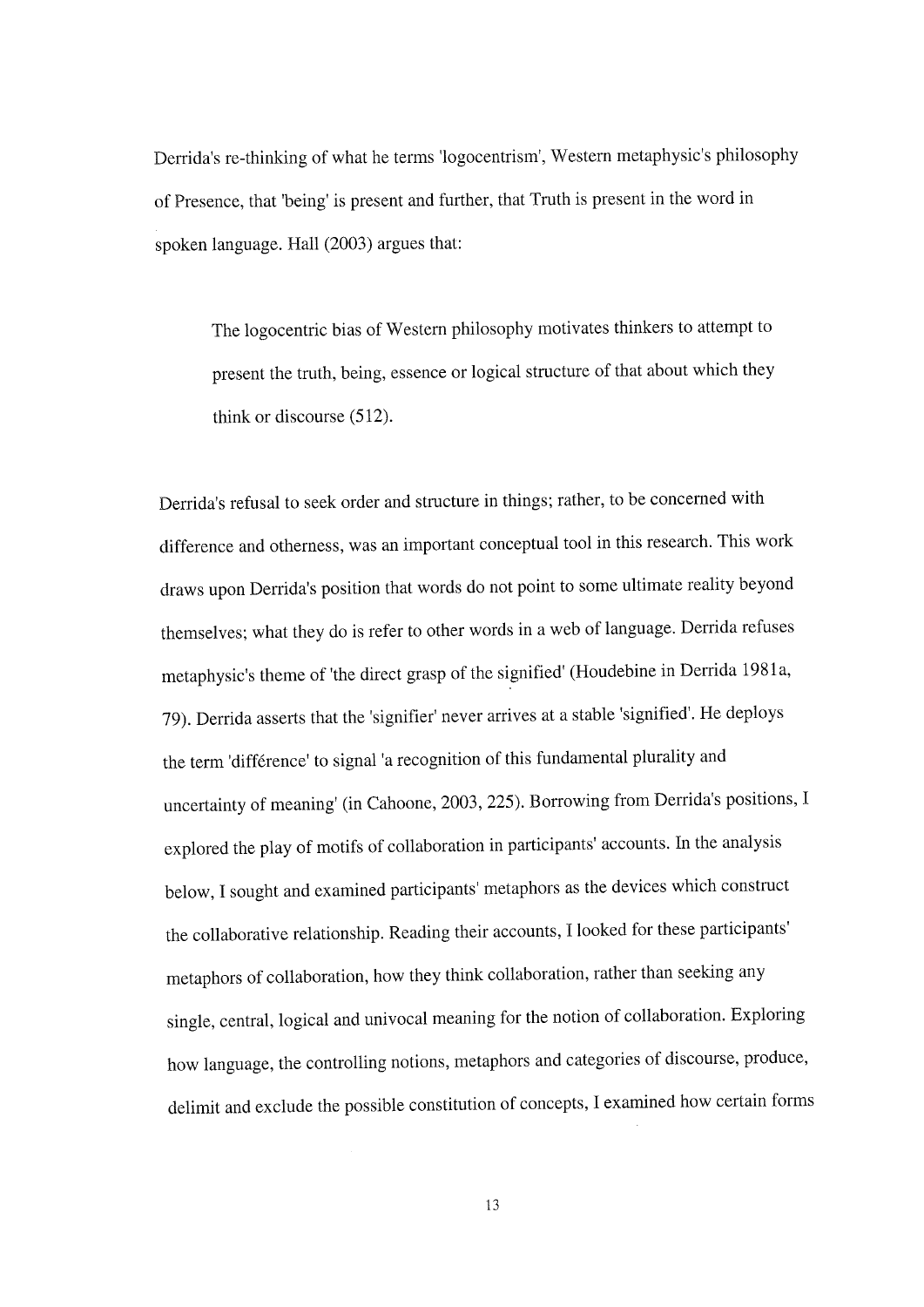Derrida's re-thinking of what he terms 'logocentrism', Western metaphysic's philosophy of Presence, that 'being' is present and further, that Truth is present in the word in spoken language. Hall (2003) argues that:

The logocentric bias of Western philosophy motivates thinkers to attempt to present the truth, being, essence or logical structure of that about which they think or discourse (512).

Derrida's refusal to seek order and structure in things; rather, to be concerned with difference and otherness, was an important conceptual tool in this research. This work draws upon Derrida's position that words do not point to some ultimate reality beyond themselves; what they do is refer to other words in a web of language. Derrida refuses metaphysic's theme of 'the direct grasp of the signified' (Houdebine in Derrida 1981 a, 79). Derrida asserts that the 'signifier' never arrives at a stable 'signified'. He deploys the term 'différence' to signal 'a recognition of this fundamental plurality and uncertainty of meaning' (in Cahoone, 2003, 225). Borrowing from Derrida's positions, I explored the play of motifs of collaboration in participants' accounts. In the analysis below, I sought and examined participants' metaphors as the devices which construct the collaborative relationship. Reading their accounts, I looked for these participants' metaphors of collaboration, how they think collaboration, rather than seeking any single, central, logical and univocal meaning for the notion of collaboration. Exploring how language, the controlling notions, metaphors and categories of discourse, produce, delimit and exclude the possible constitution of concepts, I examined how certain forms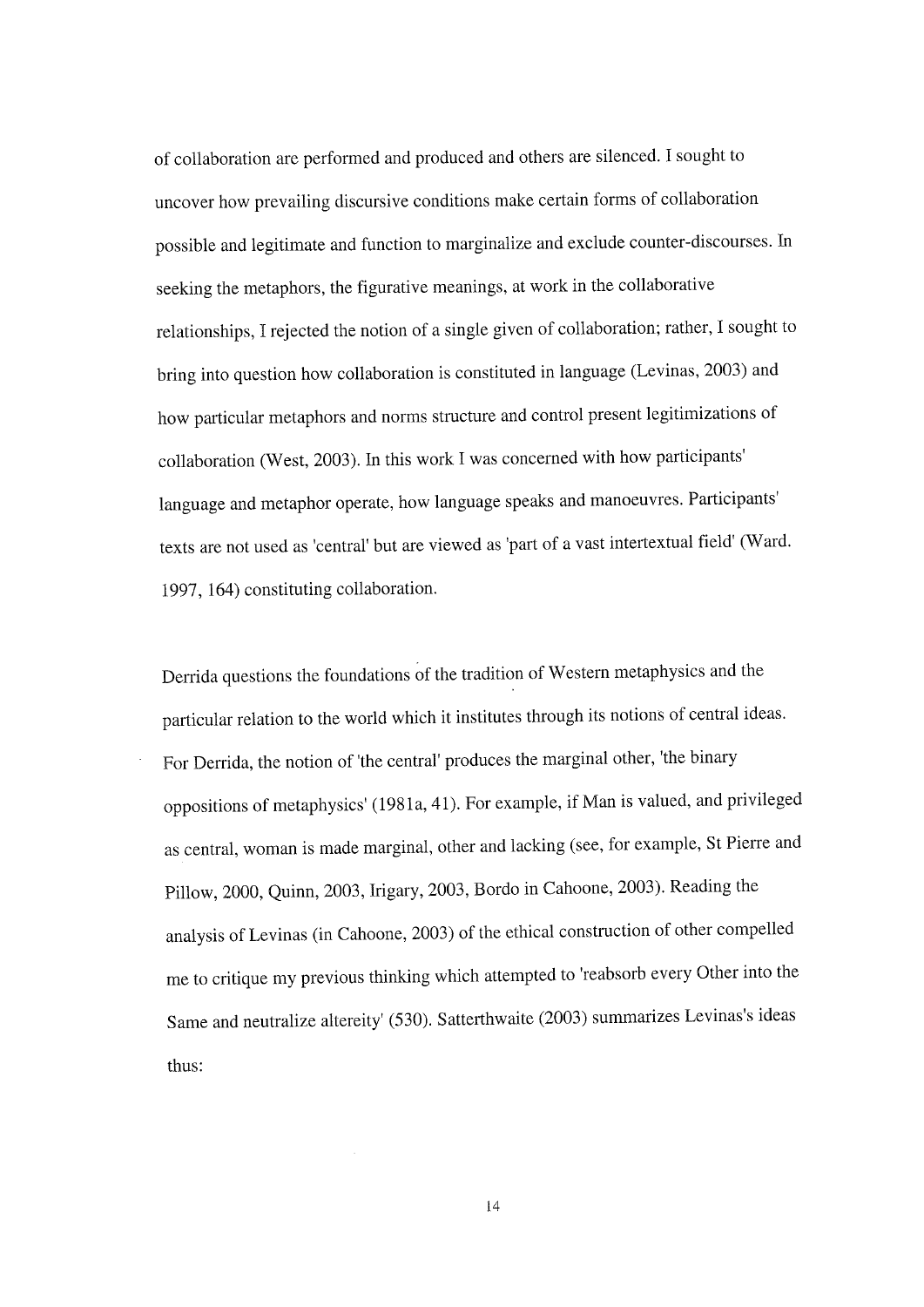of collaboration are performed and produced and others are silenced. I sought to uncover how prevailing discursive conditions make certain forms of collaboration possible and legitimate and function to marginalize and exclude counter-discourses. In seeking the metaphors, the figurative meanings, at work in the collaborative relationships, I rejected the notion of a single given of collaboration; rather, I sought to bring into question how collaboration is constituted in language (Levinas, 2003) and how paricular metaphors and norms structure and control present legitimizations of collaboration (West, 2003). In this work I was concerned with how participants' language and metaphor operate, how language speaks and manoeuvres. Participants' texts are not used as 'central' but are viewed as 'part of a vast intertextual field' (Ward. 1997, 164) constituting collaboration.

Derrida questions the foundations of the tradition of Western metaphysics and the particular relation to the world which it institutes through its notions of central ideas. For Derrida, the notion of 'the central' produces the marginal other, 'the binary oppositions of metaphysics' (19S1a, 41). For example, if Man is valued, and privileged as central, woman is made marginal, other and lacking (see, for example, St Piene and Pilow, 2000, Quinn, 2003, Irigary, 2003, Bordo in Cahoone, 2003). Reading the analysis of Levinas (in Cahoone, 2003) of the ethical construction of other compelled me to critique my previous thinking which attempted to 'reabsorb every Other into the Same and neutralize altereity' (530). Satterthwaite (2003) summarizes Levinas's ideas thus: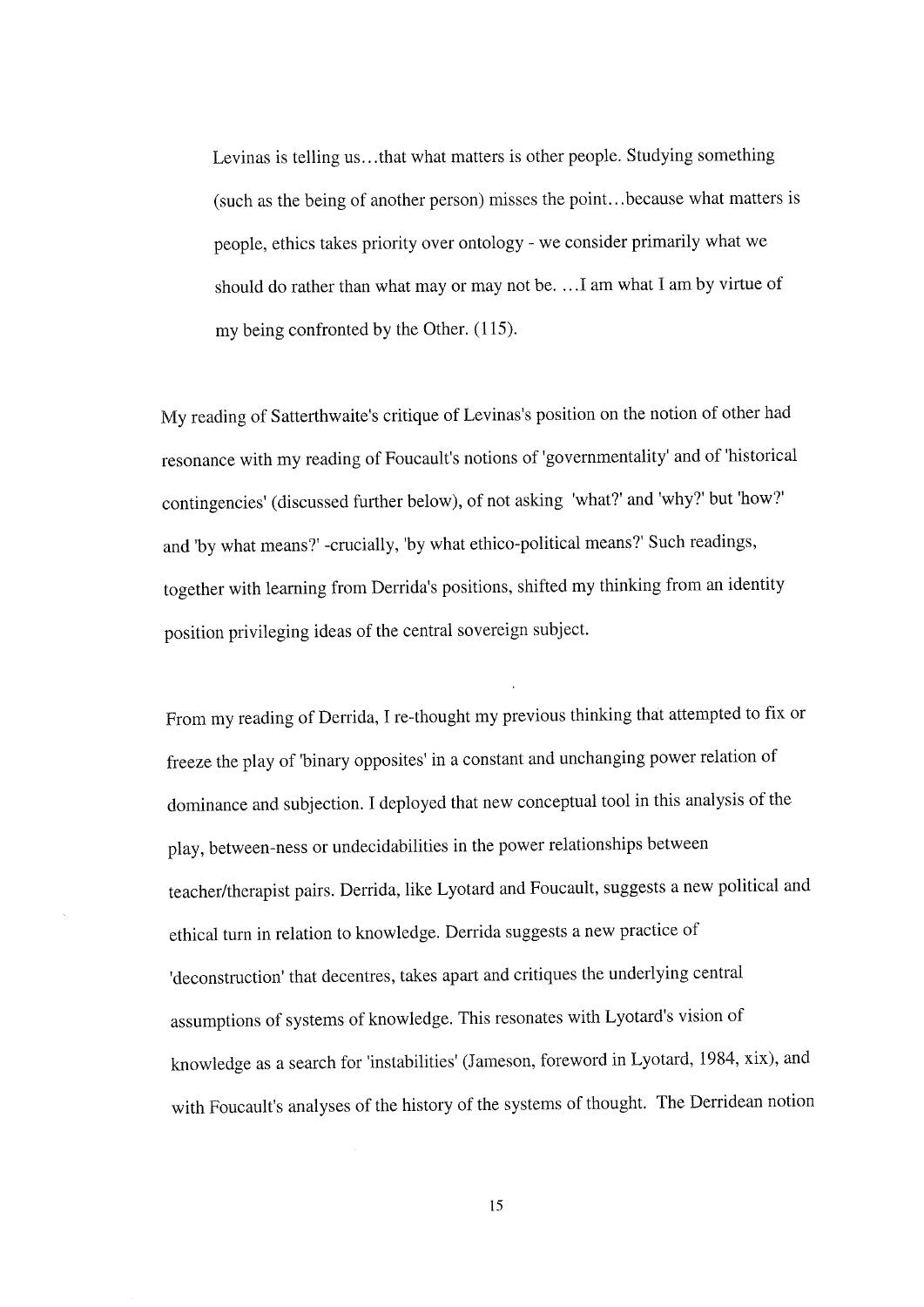Levinas is telling us...that what matters is other people. Studying something (such as the being of another person) misses the point.. .because what matters is people, ethics takes priority over ontology - we consider primarily what we should do rather than what mayor may not be. ...I am what I am by virtue of my being confronted by the Other. (115).

My reading of Satterthwaite's critique of Levinas's position on the notion of other had resonance with my reading of Foucault's notions of 'governmentality' and of 'historical contingencies' (discussed further below), of not asking 'what?' and 'why?' but 'how?' and 'by what means?' -crucially, 'by what ethico-political means?' Such readings, together with learning from Derrida's positions, shifted my thinking from an identity position privileging ideas of the central sovereign subject.

From my reading of Derrida, I re-thought my previous thinking that attempted to fix or freeze the play of 'binary opposites' in a constant and unchanging power relation of dominance and subjection. I deployed that new conceptual tool in this analysis of the play, between-ness or undecidabilties in the power relationships between teacher/therapist pairs. Derrida, like Lyotard and Foucault, suggests a new political and ethical turn in relation to knowledge. Derrida suggests a new practice of 'deconstruction' that decentres, takes apart and critiques the underlying central assumptions of systems of knowledge. This resonates with Lyotard's vision of knowledge as a search for 'instabilities' (Jameson, foreword in Lyotard, 1984, xix), and with Foucault's analyses of the history of the systems of thought. The Derridean notion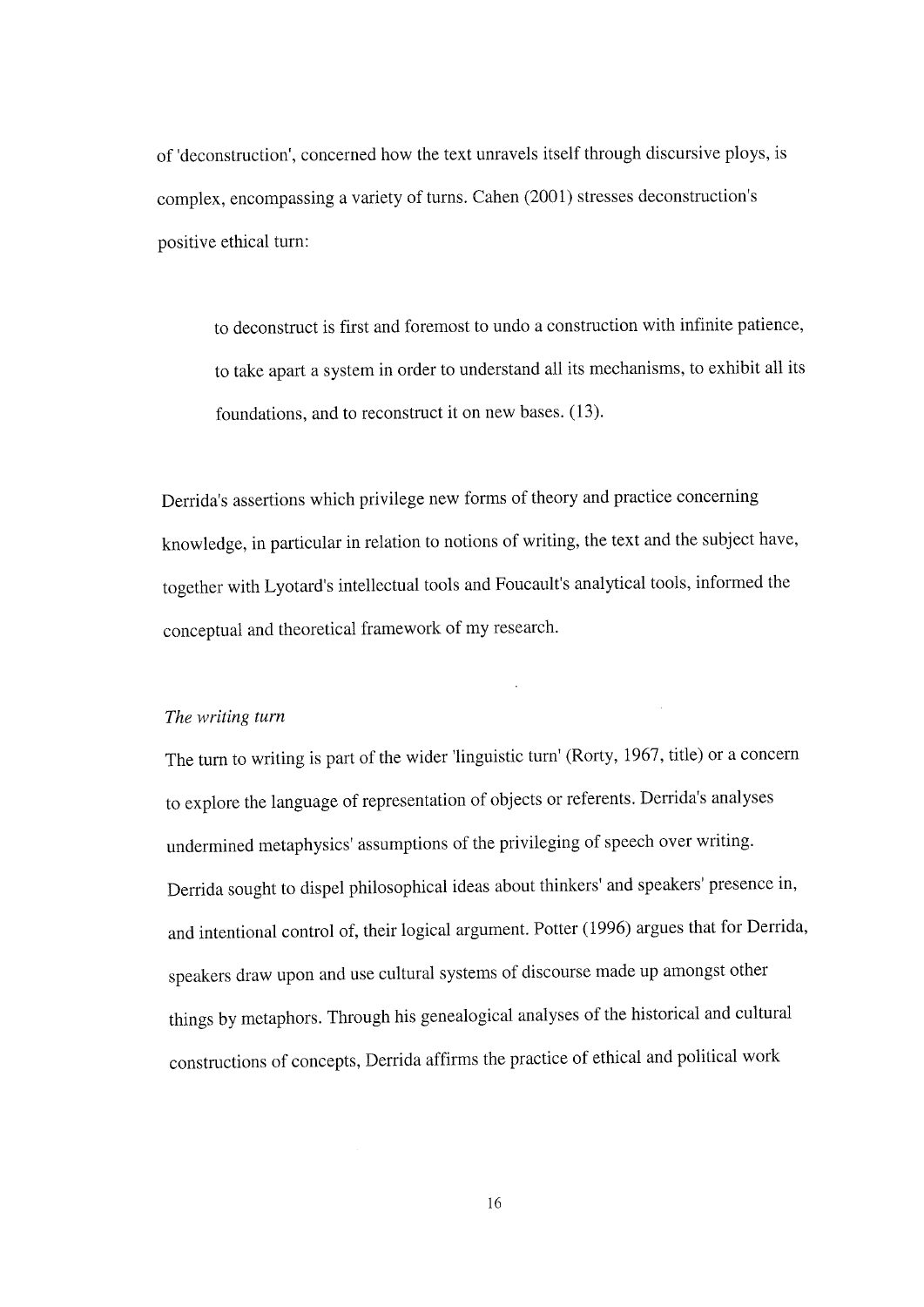of 'deconstruction', concerned how the text unravels itself through discursive ploys, is complex, encompassing a variety of turns. Cahen (2001) stresses deconstruction's positive ethical turn:

to deconstruct is first and foremost to undo a construction with infinite patience, to take apart a system in order to understand all its mechanisms, to exhibit all its foundations, and to reconstruct it on new bases. (13).

Derrida's assertions which privilege new forms of theory and practice concerning knowledge, in particular in relation to notions of writing, the text and the subject have, together with Lyotard's intellectual tools and Foucault's analytical tools, informed the conceptual and theoretical framework of my research.

### The writing turn

The turn to writing is part of the wider 'linguistic turn' (Rorty, 1967, title) or a concern to explore the language of representation of objects or referents. Derrida's analyses undermined metaphysics' assumptions of the privileging of speech over writing. Derrida sought to dispel philosophical ideas about thinkers' and speakers' presence in, and intentional control of, their logical argument. Potter (1996) argues that for Derrida, speakers draw upon and use cultural systems of discourse made up amongst other things by metaphors. Through his genealogical analyses of the historical and cultural constructions of concepts, Derrida affirms the practice of ethical and political work